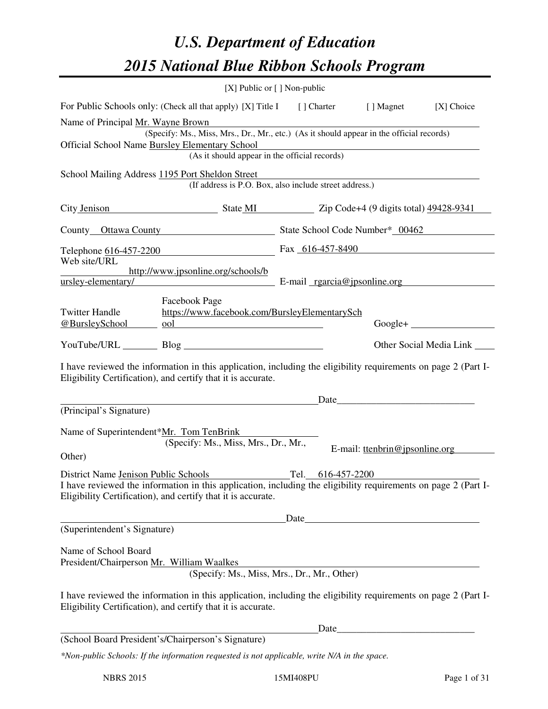# *U.S. Department of Education 2015 National Blue Ribbon Schools Program*

|                                                                                                 |                                                                                                                                                                                | [X] Public or [] Non-public |                                                                                                                      |                         |  |
|-------------------------------------------------------------------------------------------------|--------------------------------------------------------------------------------------------------------------------------------------------------------------------------------|-----------------------------|----------------------------------------------------------------------------------------------------------------------|-------------------------|--|
|                                                                                                 | For Public Schools only: (Check all that apply) [X] Title I [] Charter [] Magnet                                                                                               |                             |                                                                                                                      | [X] Choice              |  |
| Name of Principal Mr. Wayne Brown                                                               |                                                                                                                                                                                |                             |                                                                                                                      |                         |  |
|                                                                                                 | (Specify: Ms., Miss, Mrs., Dr., Mr., etc.) (As it should appear in the official records)                                                                                       |                             |                                                                                                                      |                         |  |
| Official School Name Bursley Elementary School<br>(As it should appear in the official records) |                                                                                                                                                                                |                             |                                                                                                                      |                         |  |
|                                                                                                 |                                                                                                                                                                                |                             |                                                                                                                      |                         |  |
|                                                                                                 | School Mailing Address 1195 Port Sheldon Street<br>(If address is P.O. Box, also include street address.)                                                                      |                             |                                                                                                                      |                         |  |
|                                                                                                 | City Jenison State MI State MI Zip Code+4 (9 digits total) 49428-9341                                                                                                          |                             |                                                                                                                      |                         |  |
|                                                                                                 | County Ottawa County State School Code Number* 00462                                                                                                                           |                             |                                                                                                                      |                         |  |
|                                                                                                 | Telephone 616-457-2200                                                                                                                                                         | Fax 616-457-8490            |                                                                                                                      |                         |  |
| Web site/URL                                                                                    | http://www.jpsonline.org/schools/b                                                                                                                                             |                             |                                                                                                                      |                         |  |
| ursley-elementary/                                                                              | $E$ -mail $rgarcia@ipsonline.org$                                                                                                                                              |                             |                                                                                                                      |                         |  |
| <b>Twitter Handle</b><br>@BursleySchool                                                         | Facebook Page<br>https://www.facebook.com/BursleyElementarySch<br>ool <u>in the second of the second second second</u>                                                         |                             |                                                                                                                      | $Google +$              |  |
|                                                                                                 | YouTube/URL Blog Blog                                                                                                                                                          |                             |                                                                                                                      | Other Social Media Link |  |
|                                                                                                 | I have reviewed the information in this application, including the eligibility requirements on page 2 (Part I-<br>Eligibility Certification), and certify that it is accurate. |                             |                                                                                                                      |                         |  |
|                                                                                                 |                                                                                                                                                                                |                             |                                                                                                                      |                         |  |
| (Principal's Signature)                                                                         |                                                                                                                                                                                |                             |                                                                                                                      |                         |  |
| Name of Superintendent*Mr. Tom TenBrink                                                         |                                                                                                                                                                                |                             |                                                                                                                      |                         |  |
|                                                                                                 | (Specify: Ms., Miss, Mrs., Dr., Mr.,                                                                                                                                           |                             | E-mail: ttenbrin@jpsonline.org                                                                                       |                         |  |
| Other)                                                                                          |                                                                                                                                                                                |                             |                                                                                                                      |                         |  |
|                                                                                                 | District Name Jenison Public Schools<br>I have reviewed the information in this application, including the eligibility requirements on page 2 (Part I-                         | Tel.<br>616-457-2200        |                                                                                                                      |                         |  |
|                                                                                                 | Eligibility Certification), and certify that it is accurate.                                                                                                                   |                             |                                                                                                                      |                         |  |
|                                                                                                 |                                                                                                                                                                                |                             |                                                                                                                      |                         |  |
| (Superintendent's Signature)                                                                    |                                                                                                                                                                                |                             |                                                                                                                      |                         |  |
| Name of School Board                                                                            |                                                                                                                                                                                |                             |                                                                                                                      |                         |  |
| President/Chairperson Mr. William Waalkes                                                       |                                                                                                                                                                                |                             |                                                                                                                      |                         |  |
|                                                                                                 | (Specify: Ms., Miss, Mrs., Dr., Mr., Other)                                                                                                                                    |                             |                                                                                                                      |                         |  |
|                                                                                                 | I have reviewed the information in this application, including the eligibility requirements on page 2 (Part I-<br>Eligibility Certification), and certify that it is accurate. |                             |                                                                                                                      |                         |  |
|                                                                                                 |                                                                                                                                                                                | Date                        | <u> 1980 - Johann Barn, mars ar breithinn ar breithinn ar breithinn ar breithinn ar breithinn ar breithinn ar br</u> |                         |  |
|                                                                                                 | (School Board President's/Chairperson's Signature)                                                                                                                             |                             |                                                                                                                      |                         |  |
|                                                                                                 | *Non-public Schools: If the information requested is not applicable, write N/A in the space.                                                                                   |                             |                                                                                                                      |                         |  |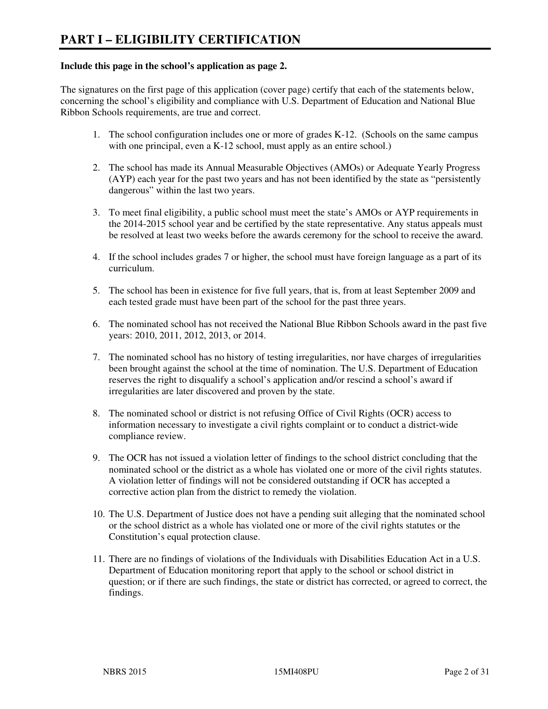#### **Include this page in the school's application as page 2.**

The signatures on the first page of this application (cover page) certify that each of the statements below, concerning the school's eligibility and compliance with U.S. Department of Education and National Blue Ribbon Schools requirements, are true and correct.

- 1. The school configuration includes one or more of grades K-12. (Schools on the same campus with one principal, even a K-12 school, must apply as an entire school.)
- 2. The school has made its Annual Measurable Objectives (AMOs) or Adequate Yearly Progress (AYP) each year for the past two years and has not been identified by the state as "persistently dangerous" within the last two years.
- 3. To meet final eligibility, a public school must meet the state's AMOs or AYP requirements in the 2014-2015 school year and be certified by the state representative. Any status appeals must be resolved at least two weeks before the awards ceremony for the school to receive the award.
- 4. If the school includes grades 7 or higher, the school must have foreign language as a part of its curriculum.
- 5. The school has been in existence for five full years, that is, from at least September 2009 and each tested grade must have been part of the school for the past three years.
- 6. The nominated school has not received the National Blue Ribbon Schools award in the past five years: 2010, 2011, 2012, 2013, or 2014.
- 7. The nominated school has no history of testing irregularities, nor have charges of irregularities been brought against the school at the time of nomination. The U.S. Department of Education reserves the right to disqualify a school's application and/or rescind a school's award if irregularities are later discovered and proven by the state.
- 8. The nominated school or district is not refusing Office of Civil Rights (OCR) access to information necessary to investigate a civil rights complaint or to conduct a district-wide compliance review.
- 9. The OCR has not issued a violation letter of findings to the school district concluding that the nominated school or the district as a whole has violated one or more of the civil rights statutes. A violation letter of findings will not be considered outstanding if OCR has accepted a corrective action plan from the district to remedy the violation.
- 10. The U.S. Department of Justice does not have a pending suit alleging that the nominated school or the school district as a whole has violated one or more of the civil rights statutes or the Constitution's equal protection clause.
- 11. There are no findings of violations of the Individuals with Disabilities Education Act in a U.S. Department of Education monitoring report that apply to the school or school district in question; or if there are such findings, the state or district has corrected, or agreed to correct, the findings.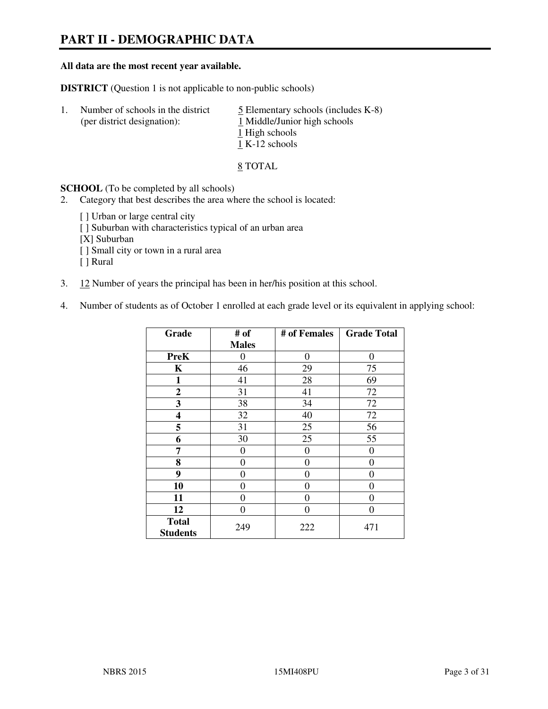# **PART II - DEMOGRAPHIC DATA**

#### **All data are the most recent year available.**

**DISTRICT** (Question 1 is not applicable to non-public schools)

| $\mathbf{L}$ | Number of schools in the district<br>(per district designation): | $\overline{5}$ Elementary schools (includes K-8)<br>1 Middle/Junior high schools<br>1 High schools<br>1 K-12 schools |
|--------------|------------------------------------------------------------------|----------------------------------------------------------------------------------------------------------------------|
|              |                                                                  |                                                                                                                      |

8 TOTAL

**SCHOOL** (To be completed by all schools)

- 2. Category that best describes the area where the school is located:
	- [ ] Urban or large central city
	- [ ] Suburban with characteristics typical of an urban area
	- [X] Suburban
	- [ ] Small city or town in a rural area
	- [ ] Rural
- 3. 12 Number of years the principal has been in her/his position at this school.
- 4. Number of students as of October 1 enrolled at each grade level or its equivalent in applying school:

| Grade                           | # of         | # of Females | <b>Grade Total</b> |
|---------------------------------|--------------|--------------|--------------------|
|                                 | <b>Males</b> |              |                    |
| <b>PreK</b>                     | 0            | $\theta$     | $\theta$           |
| K                               | 46           | 29           | 75                 |
| 1                               | 41           | 28           | 69                 |
| $\mathbf{2}$                    | 31           | 41           | 72                 |
| 3                               | 38           | 34           | 72                 |
| 4                               | 32           | 40           | 72                 |
| 5                               | 31           | 25           | 56                 |
| 6                               | 30           | 25           | 55                 |
| 7                               | 0            | $\theta$     | 0                  |
| 8                               | $\theta$     | $\theta$     | 0                  |
| 9                               | 0            | 0            | 0                  |
| 10                              | 0            | 0            | 0                  |
| 11                              | 0            | 0            | 0                  |
| 12                              | 0            | 0            | 0                  |
| <b>Total</b><br><b>Students</b> | 249          | 222          | 471                |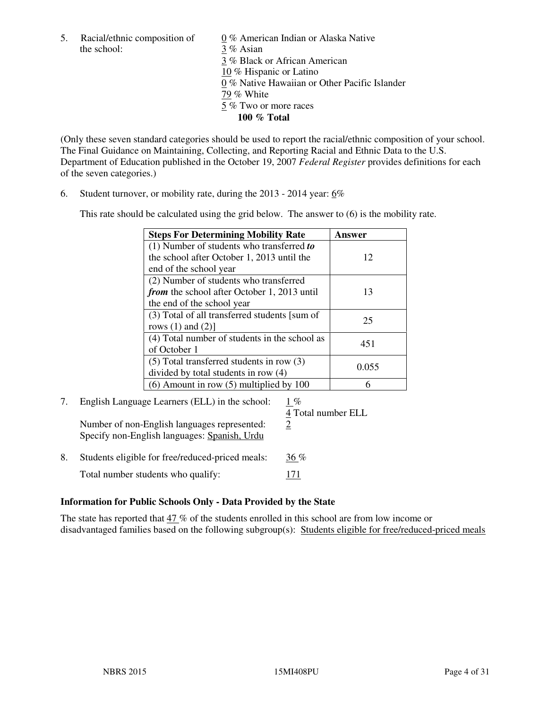the school: 3 % Asian

5. Racial/ethnic composition of  $0\%$  American Indian or Alaska Native 3 % Black or African American 10 % Hispanic or Latino 0 % Native Hawaiian or Other Pacific Islander 79 % White 5 % Two or more races **100 % Total** 

(Only these seven standard categories should be used to report the racial/ethnic composition of your school. The Final Guidance on Maintaining, Collecting, and Reporting Racial and Ethnic Data to the U.S. Department of Education published in the October 19, 2007 *Federal Register* provides definitions for each of the seven categories.)

6. Student turnover, or mobility rate, during the 2013 - 2014 year: 6%

This rate should be calculated using the grid below. The answer to (6) is the mobility rate.

| <b>Steps For Determining Mobility Rate</b>         | Answer |
|----------------------------------------------------|--------|
| $(1)$ Number of students who transferred to        |        |
| the school after October 1, 2013 until the         | 12     |
| end of the school year                             |        |
| (2) Number of students who transferred             |        |
| <i>from</i> the school after October 1, 2013 until | 13     |
| the end of the school year                         |        |
| (3) Total of all transferred students [sum of      | 25     |
| rows $(1)$ and $(2)$ ]                             |        |
| (4) Total number of students in the school as      | 451    |
| of October 1                                       |        |
| $(5)$ Total transferred students in row $(3)$      | 0.055  |
| divided by total students in row (4)               |        |
| $(6)$ Amount in row $(5)$ multiplied by 100        |        |

# 7. English Language Learners (ELL) in the school: 1 %

Number of non-English languages represented:  $2$ Specify non-English languages: Spanish, Urdu

4 Total number ELL

8. Students eligible for free/reduced-priced meals:  $36\%$ Total number students who qualify: 171

# **Information for Public Schools Only - Data Provided by the State**

The state has reported that 47 % of the students enrolled in this school are from low income or disadvantaged families based on the following subgroup(s): Students eligible for free/reduced-priced meals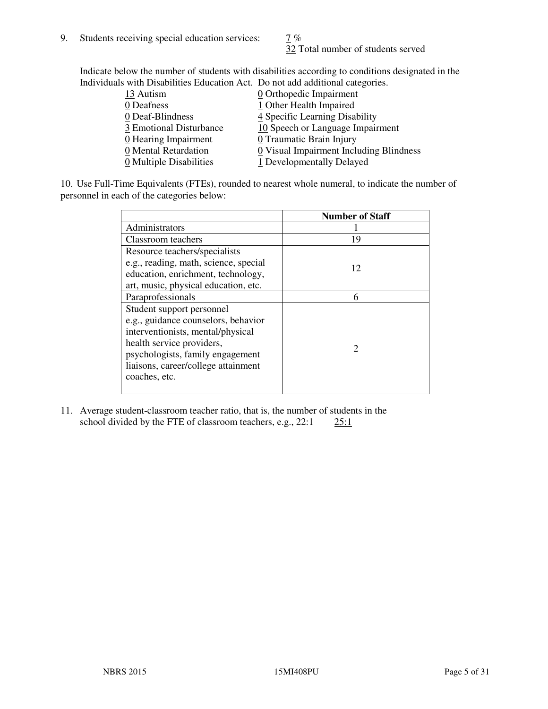32 Total number of students served

Indicate below the number of students with disabilities according to conditions designated in the Individuals with Disabilities Education Act. Do not add additional categories.

| THE LEW CONSTRUCTION OF THE CONSTRUCTION OF THE CONSTRUCTION OF A LOCAL CONSTRUCTION OF A CONSTRUCTION OF THE CONSTRUCTION OF THE CONSTRUCTION OF THE CONSTRUCTION OF THE CONSTRUCTION OF THE CONSTRUCTION OF THE CONSTRUCTIO |                                         |
|-------------------------------------------------------------------------------------------------------------------------------------------------------------------------------------------------------------------------------|-----------------------------------------|
| 13 Autism                                                                                                                                                                                                                     | $\underline{0}$ Orthopedic Impairment   |
| 0 Deafness                                                                                                                                                                                                                    | 1 Other Health Impaired                 |
| 0 Deaf-Blindness                                                                                                                                                                                                              | 4 Specific Learning Disability          |
| 3 Emotional Disturbance                                                                                                                                                                                                       | 10 Speech or Language Impairment        |
| 0 Hearing Impairment                                                                                                                                                                                                          | 0 Traumatic Brain Injury                |
| 0 Mental Retardation                                                                                                                                                                                                          | 0 Visual Impairment Including Blindness |
| 0 Multiple Disabilities                                                                                                                                                                                                       | 1 Developmentally Delayed               |
|                                                                                                                                                                                                                               |                                         |

10. Use Full-Time Equivalents (FTEs), rounded to nearest whole numeral, to indicate the number of personnel in each of the categories below:

|                                       | <b>Number of Staff</b> |
|---------------------------------------|------------------------|
| Administrators                        |                        |
| Classroom teachers                    | 19                     |
| Resource teachers/specialists         |                        |
| e.g., reading, math, science, special | 12                     |
| education, enrichment, technology,    |                        |
| art, music, physical education, etc.  |                        |
| Paraprofessionals                     | 6                      |
| Student support personnel             |                        |
| e.g., guidance counselors, behavior   |                        |
| interventionists, mental/physical     |                        |
| health service providers,             |                        |
| psychologists, family engagement      |                        |
| liaisons, career/college attainment   |                        |
| coaches, etc.                         |                        |
|                                       |                        |

11. Average student-classroom teacher ratio, that is, the number of students in the school divided by the FTE of classroom teachers, e.g.,  $22:1$   $25:1$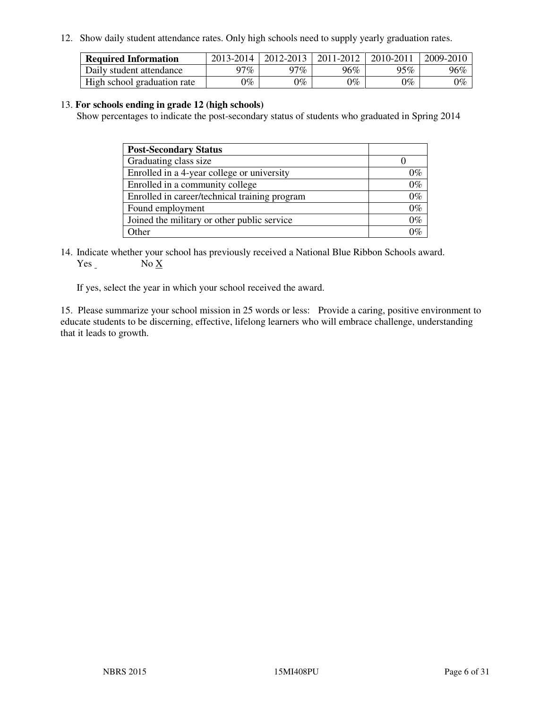12. Show daily student attendance rates. Only high schools need to supply yearly graduation rates.

| <b>Required Information</b> | 2013-2014     | 2012-2013       | 2011-2012 | 2010-2011 | 2009-2010 |
|-----------------------------|---------------|-----------------|-----------|-----------|-----------|
| Daily student attendance    | 97%           | 97%             | 96%       | 95%       | 96%       |
| High school graduation rate | $\gamma_{\%}$ | $\mathcal{V}_o$ | $0\%$     | 0%        | 0%        |

#### 13. **For schools ending in grade 12 (high schools)**

Show percentages to indicate the post-secondary status of students who graduated in Spring 2014

| <b>Post-Secondary Status</b>                  |       |
|-----------------------------------------------|-------|
| Graduating class size                         |       |
| Enrolled in a 4-year college or university    | በ‰    |
| Enrolled in a community college               | $0\%$ |
| Enrolled in career/technical training program | $0\%$ |
| Found employment                              | $0\%$ |
| Joined the military or other public service   | 0%    |
| Other                                         |       |

14. Indicate whether your school has previously received a National Blue Ribbon Schools award. Yes No X

If yes, select the year in which your school received the award.

15. Please summarize your school mission in 25 words or less: Provide a caring, positive environment to educate students to be discerning, effective, lifelong learners who will embrace challenge, understanding that it leads to growth.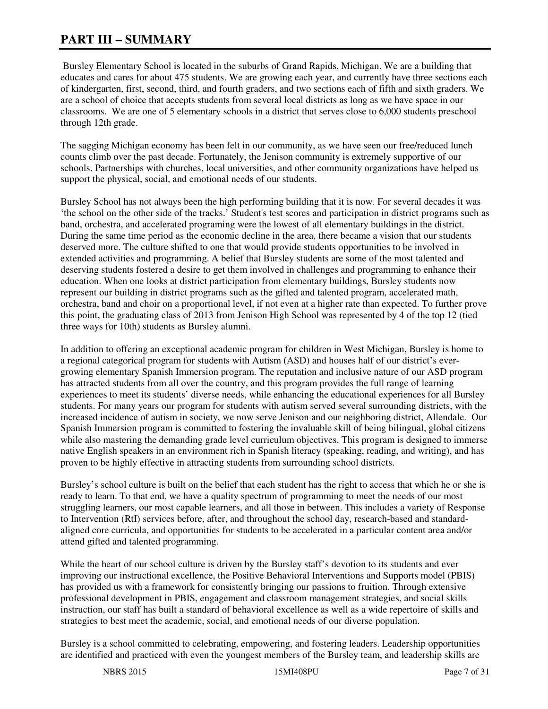# **PART III – SUMMARY**

 Bursley Elementary School is located in the suburbs of Grand Rapids, Michigan. We are a building that educates and cares for about 475 students. We are growing each year, and currently have three sections each of kindergarten, first, second, third, and fourth graders, and two sections each of fifth and sixth graders. We are a school of choice that accepts students from several local districts as long as we have space in our classrooms. We are one of 5 elementary schools in a district that serves close to 6,000 students preschool through 12th grade.

The sagging Michigan economy has been felt in our community, as we have seen our free/reduced lunch counts climb over the past decade. Fortunately, the Jenison community is extremely supportive of our schools. Partnerships with churches, local universities, and other community organizations have helped us support the physical, social, and emotional needs of our students.

Bursley School has not always been the high performing building that it is now. For several decades it was 'the school on the other side of the tracks.' Student's test scores and participation in district programs such as band, orchestra, and accelerated programing were the lowest of all elementary buildings in the district. During the same time period as the economic decline in the area, there became a vision that our students deserved more. The culture shifted to one that would provide students opportunities to be involved in extended activities and programming. A belief that Bursley students are some of the most talented and deserving students fostered a desire to get them involved in challenges and programming to enhance their education. When one looks at district participation from elementary buildings, Bursley students now represent our building in district programs such as the gifted and talented program, accelerated math, orchestra, band and choir on a proportional level, if not even at a higher rate than expected. To further prove this point, the graduating class of 2013 from Jenison High School was represented by 4 of the top 12 (tied three ways for 10th) students as Bursley alumni.

In addition to offering an exceptional academic program for children in West Michigan, Bursley is home to a regional categorical program for students with Autism (ASD) and houses half of our district's evergrowing elementary Spanish Immersion program. The reputation and inclusive nature of our ASD program has attracted students from all over the country, and this program provides the full range of learning experiences to meet its students' diverse needs, while enhancing the educational experiences for all Bursley students. For many years our program for students with autism served several surrounding districts, with the increased incidence of autism in society, we now serve Jenison and our neighboring district, Allendale. Our Spanish Immersion program is committed to fostering the invaluable skill of being bilingual, global citizens while also mastering the demanding grade level curriculum objectives. This program is designed to immerse native English speakers in an environment rich in Spanish literacy (speaking, reading, and writing), and has proven to be highly effective in attracting students from surrounding school districts.

Bursley's school culture is built on the belief that each student has the right to access that which he or she is ready to learn. To that end, we have a quality spectrum of programming to meet the needs of our most struggling learners, our most capable learners, and all those in between. This includes a variety of Response to Intervention (RtI) services before, after, and throughout the school day, research-based and standardaligned core curricula, and opportunities for students to be accelerated in a particular content area and/or attend gifted and talented programming.

While the heart of our school culture is driven by the Bursley staff's devotion to its students and ever improving our instructional excellence, the Positive Behavioral Interventions and Supports model (PBIS) has provided us with a framework for consistently bringing our passions to fruition. Through extensive professional development in PBIS, engagement and classroom management strategies, and social skills instruction, our staff has built a standard of behavioral excellence as well as a wide repertoire of skills and strategies to best meet the academic, social, and emotional needs of our diverse population.

Bursley is a school committed to celebrating, empowering, and fostering leaders. Leadership opportunities are identified and practiced with even the youngest members of the Bursley team, and leadership skills are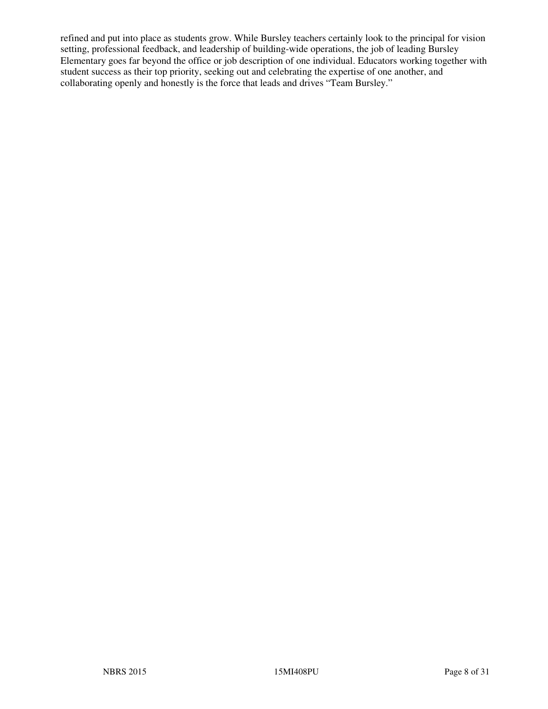refined and put into place as students grow. While Bursley teachers certainly look to the principal for vision setting, professional feedback, and leadership of building-wide operations, the job of leading Bursley Elementary goes far beyond the office or job description of one individual. Educators working together with student success as their top priority, seeking out and celebrating the expertise of one another, and collaborating openly and honestly is the force that leads and drives "Team Bursley."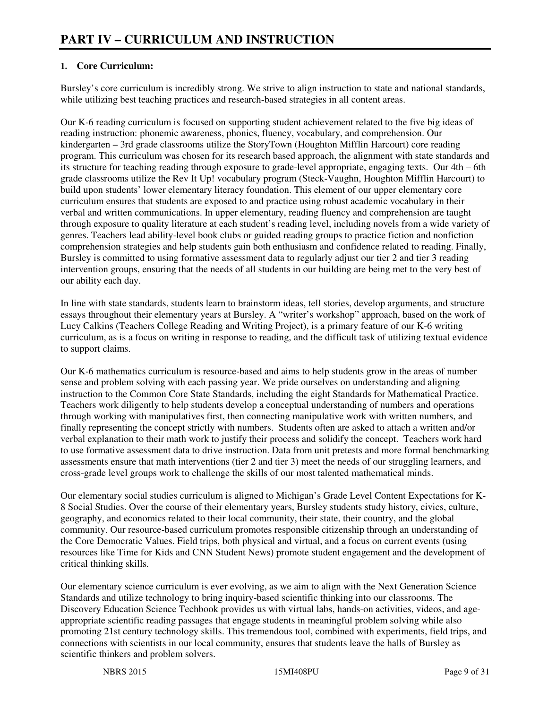# **1. Core Curriculum:**

Bursley's core curriculum is incredibly strong. We strive to align instruction to state and national standards, while utilizing best teaching practices and research-based strategies in all content areas.

Our K-6 reading curriculum is focused on supporting student achievement related to the five big ideas of reading instruction: phonemic awareness, phonics, fluency, vocabulary, and comprehension. Our kindergarten – 3rd grade classrooms utilize the StoryTown (Houghton Mifflin Harcourt) core reading program. This curriculum was chosen for its research based approach, the alignment with state standards and its structure for teaching reading through exposure to grade-level appropriate, engaging texts. Our 4th – 6th grade classrooms utilize the Rev It Up! vocabulary program (Steck-Vaughn, Houghton Mifflin Harcourt) to build upon students' lower elementary literacy foundation. This element of our upper elementary core curriculum ensures that students are exposed to and practice using robust academic vocabulary in their verbal and written communications. In upper elementary, reading fluency and comprehension are taught through exposure to quality literature at each student's reading level, including novels from a wide variety of genres. Teachers lead ability-level book clubs or guided reading groups to practice fiction and nonfiction comprehension strategies and help students gain both enthusiasm and confidence related to reading. Finally, Bursley is committed to using formative assessment data to regularly adjust our tier 2 and tier 3 reading intervention groups, ensuring that the needs of all students in our building are being met to the very best of our ability each day.

In line with state standards, students learn to brainstorm ideas, tell stories, develop arguments, and structure essays throughout their elementary years at Bursley. A "writer's workshop" approach, based on the work of Lucy Calkins (Teachers College Reading and Writing Project), is a primary feature of our K-6 writing curriculum, as is a focus on writing in response to reading, and the difficult task of utilizing textual evidence to support claims.

Our K-6 mathematics curriculum is resource-based and aims to help students grow in the areas of number sense and problem solving with each passing year. We pride ourselves on understanding and aligning instruction to the Common Core State Standards, including the eight Standards for Mathematical Practice. Teachers work diligently to help students develop a conceptual understanding of numbers and operations through working with manipulatives first, then connecting manipulative work with written numbers, and finally representing the concept strictly with numbers. Students often are asked to attach a written and/or verbal explanation to their math work to justify their process and solidify the concept. Teachers work hard to use formative assessment data to drive instruction. Data from unit pretests and more formal benchmarking assessments ensure that math interventions (tier 2 and tier 3) meet the needs of our struggling learners, and cross-grade level groups work to challenge the skills of our most talented mathematical minds.

Our elementary social studies curriculum is aligned to Michigan's Grade Level Content Expectations for K-8 Social Studies. Over the course of their elementary years, Bursley students study history, civics, culture, geography, and economics related to their local community, their state, their country, and the global community. Our resource-based curriculum promotes responsible citizenship through an understanding of the Core Democratic Values. Field trips, both physical and virtual, and a focus on current events (using resources like Time for Kids and CNN Student News) promote student engagement and the development of critical thinking skills.

Our elementary science curriculum is ever evolving, as we aim to align with the Next Generation Science Standards and utilize technology to bring inquiry-based scientific thinking into our classrooms. The Discovery Education Science Techbook provides us with virtual labs, hands-on activities, videos, and ageappropriate scientific reading passages that engage students in meaningful problem solving while also promoting 21st century technology skills. This tremendous tool, combined with experiments, field trips, and connections with scientists in our local community, ensures that students leave the halls of Bursley as scientific thinkers and problem solvers.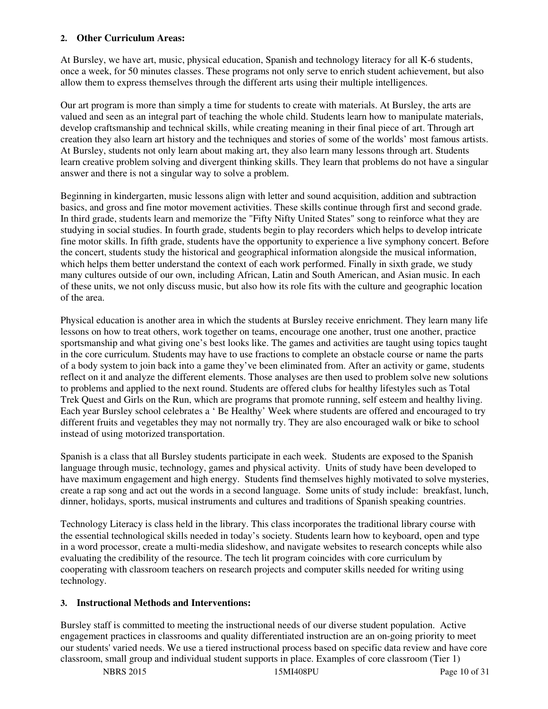#### **2. Other Curriculum Areas:**

At Bursley, we have art, music, physical education, Spanish and technology literacy for all K-6 students, once a week, for 50 minutes classes. These programs not only serve to enrich student achievement, but also allow them to express themselves through the different arts using their multiple intelligences.

Our art program is more than simply a time for students to create with materials. At Bursley, the arts are valued and seen as an integral part of teaching the whole child. Students learn how to manipulate materials, develop craftsmanship and technical skills, while creating meaning in their final piece of art. Through art creation they also learn art history and the techniques and stories of some of the worlds' most famous artists. At Bursley, students not only learn about making art, they also learn many lessons through art. Students learn creative problem solving and divergent thinking skills. They learn that problems do not have a singular answer and there is not a singular way to solve a problem.

Beginning in kindergarten, music lessons align with letter and sound acquisition, addition and subtraction basics, and gross and fine motor movement activities. These skills continue through first and second grade. In third grade, students learn and memorize the "Fifty Nifty United States" song to reinforce what they are studying in social studies. In fourth grade, students begin to play recorders which helps to develop intricate fine motor skills. In fifth grade, students have the opportunity to experience a live symphony concert. Before the concert, students study the historical and geographical information alongside the musical information, which helps them better understand the context of each work performed. Finally in sixth grade, we study many cultures outside of our own, including African, Latin and South American, and Asian music. In each of these units, we not only discuss music, but also how its role fits with the culture and geographic location of the area.

Physical education is another area in which the students at Bursley receive enrichment. They learn many life lessons on how to treat others, work together on teams, encourage one another, trust one another, practice sportsmanship and what giving one's best looks like. The games and activities are taught using topics taught in the core curriculum. Students may have to use fractions to complete an obstacle course or name the parts of a body system to join back into a game they've been eliminated from. After an activity or game, students reflect on it and analyze the different elements. Those analyses are then used to problem solve new solutions to problems and applied to the next round. Students are offered clubs for healthy lifestyles such as Total Trek Quest and Girls on the Run, which are programs that promote running, self esteem and healthy living. Each year Bursley school celebrates a ' Be Healthy' Week where students are offered and encouraged to try different fruits and vegetables they may not normally try. They are also encouraged walk or bike to school instead of using motorized transportation.

Spanish is a class that all Bursley students participate in each week. Students are exposed to the Spanish language through music, technology, games and physical activity. Units of study have been developed to have maximum engagement and high energy. Students find themselves highly motivated to solve mysteries, create a rap song and act out the words in a second language. Some units of study include: breakfast, lunch, dinner, holidays, sports, musical instruments and cultures and traditions of Spanish speaking countries.

Technology Literacy is class held in the library. This class incorporates the traditional library course with the essential technological skills needed in today's society. Students learn how to keyboard, open and type in a word processor, create a multi-media slideshow, and navigate websites to research concepts while also evaluating the credibility of the resource. The tech lit program coincides with core curriculum by cooperating with classroom teachers on research projects and computer skills needed for writing using technology.

# **3. Instructional Methods and Interventions:**

Bursley staff is committed to meeting the instructional needs of our diverse student population. Active engagement practices in classrooms and quality differentiated instruction are an on-going priority to meet our students' varied needs. We use a tiered instructional process based on specific data review and have core classroom, small group and individual student supports in place. Examples of core classroom (Tier 1)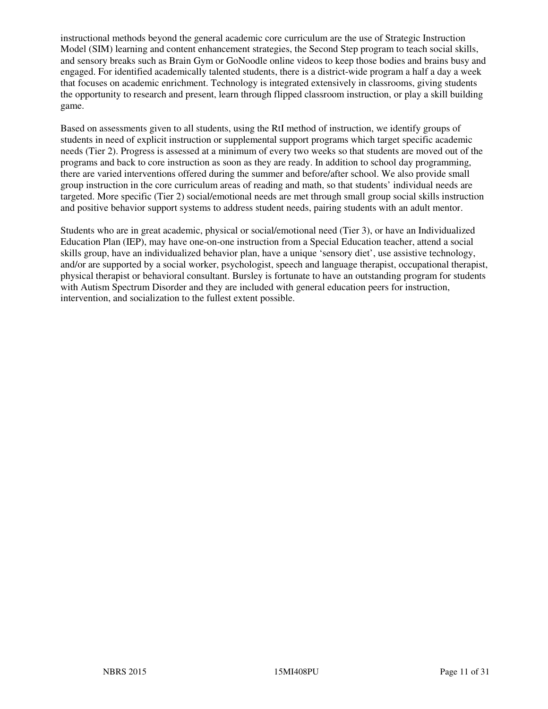instructional methods beyond the general academic core curriculum are the use of Strategic Instruction Model (SIM) learning and content enhancement strategies, the Second Step program to teach social skills, and sensory breaks such as Brain Gym or GoNoodle online videos to keep those bodies and brains busy and engaged. For identified academically talented students, there is a district-wide program a half a day a week that focuses on academic enrichment. Technology is integrated extensively in classrooms, giving students the opportunity to research and present, learn through flipped classroom instruction, or play a skill building game.

Based on assessments given to all students, using the RtI method of instruction, we identify groups of students in need of explicit instruction or supplemental support programs which target specific academic needs (Tier 2). Progress is assessed at a minimum of every two weeks so that students are moved out of the programs and back to core instruction as soon as they are ready. In addition to school day programming, there are varied interventions offered during the summer and before/after school. We also provide small group instruction in the core curriculum areas of reading and math, so that students' individual needs are targeted. More specific (Tier 2) social/emotional needs are met through small group social skills instruction and positive behavior support systems to address student needs, pairing students with an adult mentor.

Students who are in great academic, physical or social/emotional need (Tier 3), or have an Individualized Education Plan (IEP), may have one-on-one instruction from a Special Education teacher, attend a social skills group, have an individualized behavior plan, have a unique 'sensory diet', use assistive technology, and/or are supported by a social worker, psychologist, speech and language therapist, occupational therapist, physical therapist or behavioral consultant. Bursley is fortunate to have an outstanding program for students with Autism Spectrum Disorder and they are included with general education peers for instruction, intervention, and socialization to the fullest extent possible.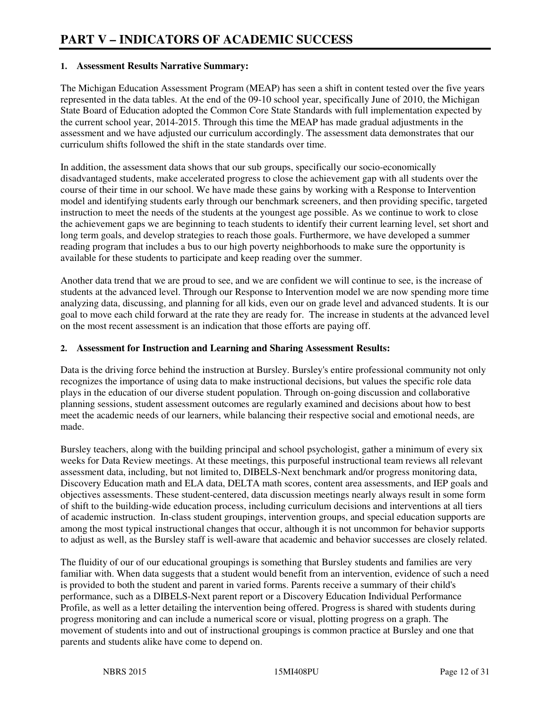#### **1. Assessment Results Narrative Summary:**

The Michigan Education Assessment Program (MEAP) has seen a shift in content tested over the five years represented in the data tables. At the end of the 09-10 school year, specifically June of 2010, the Michigan State Board of Education adopted the Common Core State Standards with full implementation expected by the current school year, 2014-2015. Through this time the MEAP has made gradual adjustments in the assessment and we have adjusted our curriculum accordingly. The assessment data demonstrates that our curriculum shifts followed the shift in the state standards over time.

In addition, the assessment data shows that our sub groups, specifically our socio-economically disadvantaged students, make accelerated progress to close the achievement gap with all students over the course of their time in our school. We have made these gains by working with a Response to Intervention model and identifying students early through our benchmark screeners, and then providing specific, targeted instruction to meet the needs of the students at the youngest age possible. As we continue to work to close the achievement gaps we are beginning to teach students to identify their current learning level, set short and long term goals, and develop strategies to reach those goals. Furthermore, we have developed a summer reading program that includes a bus to our high poverty neighborhoods to make sure the opportunity is available for these students to participate and keep reading over the summer.

Another data trend that we are proud to see, and we are confident we will continue to see, is the increase of students at the advanced level. Through our Response to Intervention model we are now spending more time analyzing data, discussing, and planning for all kids, even our on grade level and advanced students. It is our goal to move each child forward at the rate they are ready for. The increase in students at the advanced level on the most recent assessment is an indication that those efforts are paying off.

#### **2. Assessment for Instruction and Learning and Sharing Assessment Results:**

Data is the driving force behind the instruction at Bursley. Bursley's entire professional community not only recognizes the importance of using data to make instructional decisions, but values the specific role data plays in the education of our diverse student population. Through on-going discussion and collaborative planning sessions, student assessment outcomes are regularly examined and decisions about how to best meet the academic needs of our learners, while balancing their respective social and emotional needs, are made.

Bursley teachers, along with the building principal and school psychologist, gather a minimum of every six weeks for Data Review meetings. At these meetings, this purposeful instructional team reviews all relevant assessment data, including, but not limited to, DIBELS-Next benchmark and/or progress monitoring data, Discovery Education math and ELA data, DELTA math scores, content area assessments, and IEP goals and objectives assessments. These student-centered, data discussion meetings nearly always result in some form of shift to the building-wide education process, including curriculum decisions and interventions at all tiers of academic instruction. In-class student groupings, intervention groups, and special education supports are among the most typical instructional changes that occur, although it is not uncommon for behavior supports to adjust as well, as the Bursley staff is well-aware that academic and behavior successes are closely related.

The fluidity of our of our educational groupings is something that Bursley students and families are very familiar with. When data suggests that a student would benefit from an intervention, evidence of such a need is provided to both the student and parent in varied forms. Parents receive a summary of their child's performance, such as a DIBELS-Next parent report or a Discovery Education Individual Performance Profile, as well as a letter detailing the intervention being offered. Progress is shared with students during progress monitoring and can include a numerical score or visual, plotting progress on a graph. The movement of students into and out of instructional groupings is common practice at Bursley and one that parents and students alike have come to depend on.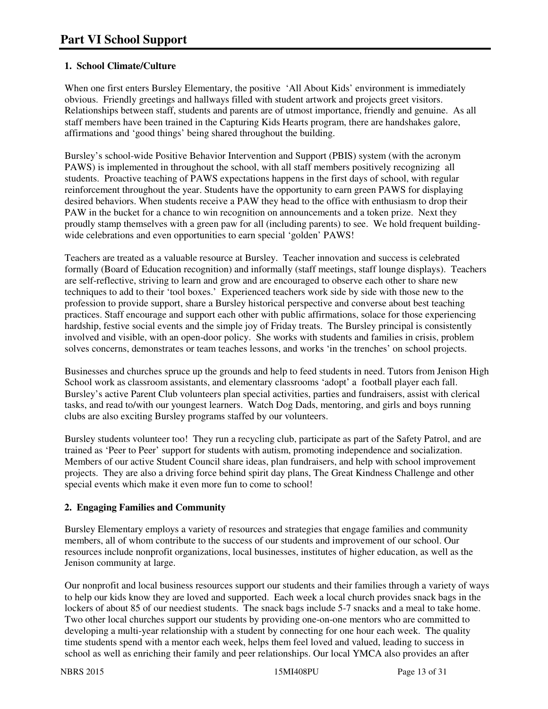# **1. School Climate/Culture**

When one first enters Bursley Elementary, the positive 'All About Kids' environment is immediately obvious. Friendly greetings and hallways filled with student artwork and projects greet visitors. Relationships between staff, students and parents are of utmost importance, friendly and genuine. As all staff members have been trained in the Capturing Kids Hearts program, there are handshakes galore, affirmations and 'good things' being shared throughout the building.

Bursley's school-wide Positive Behavior Intervention and Support (PBIS) system (with the acronym PAWS) is implemented in throughout the school, with all staff members positively recognizing all students. Proactive teaching of PAWS expectations happens in the first days of school, with regular reinforcement throughout the year. Students have the opportunity to earn green PAWS for displaying desired behaviors. When students receive a PAW they head to the office with enthusiasm to drop their PAW in the bucket for a chance to win recognition on announcements and a token prize. Next they proudly stamp themselves with a green paw for all (including parents) to see. We hold frequent buildingwide celebrations and even opportunities to earn special 'golden' PAWS!

Teachers are treated as a valuable resource at Bursley. Teacher innovation and success is celebrated formally (Board of Education recognition) and informally (staff meetings, staff lounge displays). Teachers are self-reflective, striving to learn and grow and are encouraged to observe each other to share new techniques to add to their 'tool boxes.' Experienced teachers work side by side with those new to the profession to provide support, share a Bursley historical perspective and converse about best teaching practices. Staff encourage and support each other with public affirmations, solace for those experiencing hardship, festive social events and the simple joy of Friday treats. The Bursley principal is consistently involved and visible, with an open-door policy. She works with students and families in crisis, problem solves concerns, demonstrates or team teaches lessons, and works 'in the trenches' on school projects.

Businesses and churches spruce up the grounds and help to feed students in need. Tutors from Jenison High School work as classroom assistants, and elementary classrooms 'adopt' a football player each fall. Bursley's active Parent Club volunteers plan special activities, parties and fundraisers, assist with clerical tasks, and read to/with our youngest learners. Watch Dog Dads, mentoring, and girls and boys running clubs are also exciting Bursley programs staffed by our volunteers.

Bursley students volunteer too! They run a recycling club, participate as part of the Safety Patrol, and are trained as 'Peer to Peer' support for students with autism, promoting independence and socialization. Members of our active Student Council share ideas, plan fundraisers, and help with school improvement projects. They are also a driving force behind spirit day plans, The Great Kindness Challenge and other special events which make it even more fun to come to school!

# **2. Engaging Families and Community**

Bursley Elementary employs a variety of resources and strategies that engage families and community members, all of whom contribute to the success of our students and improvement of our school. Our resources include nonprofit organizations, local businesses, institutes of higher education, as well as the Jenison community at large.

Our nonprofit and local business resources support our students and their families through a variety of ways to help our kids know they are loved and supported. Each week a local church provides snack bags in the lockers of about 85 of our neediest students. The snack bags include 5-7 snacks and a meal to take home. Two other local churches support our students by providing one-on-one mentors who are committed to developing a multi-year relationship with a student by connecting for one hour each week. The quality time students spend with a mentor each week, helps them feel loved and valued, leading to success in school as well as enriching their family and peer relationships. Our local YMCA also provides an after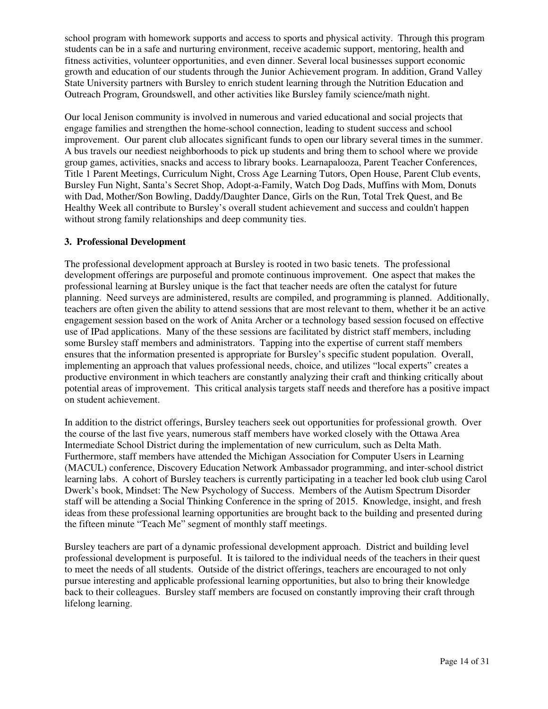school program with homework supports and access to sports and physical activity. Through this program students can be in a safe and nurturing environment, receive academic support, mentoring, health and fitness activities, volunteer opportunities, and even dinner. Several local businesses support economic growth and education of our students through the Junior Achievement program. In addition, Grand Valley State University partners with Bursley to enrich student learning through the Nutrition Education and Outreach Program, Groundswell, and other activities like Bursley family science/math night.

Our local Jenison community is involved in numerous and varied educational and social projects that engage families and strengthen the home-school connection, leading to student success and school improvement. Our parent club allocates significant funds to open our library several times in the summer. A bus travels our neediest neighborhoods to pick up students and bring them to school where we provide group games, activities, snacks and access to library books. Learnapalooza, Parent Teacher Conferences, Title 1 Parent Meetings, Curriculum Night, Cross Age Learning Tutors, Open House, Parent Club events, Bursley Fun Night, Santa's Secret Shop, Adopt-a-Family, Watch Dog Dads, Muffins with Mom, Donuts with Dad, Mother/Son Bowling, Daddy/Daughter Dance, Girls on the Run, Total Trek Quest, and Be Healthy Week all contribute to Bursley's overall student achievement and success and couldn't happen without strong family relationships and deep community ties.

#### **3. Professional Development**

The professional development approach at Bursley is rooted in two basic tenets. The professional development offerings are purposeful and promote continuous improvement. One aspect that makes the professional learning at Bursley unique is the fact that teacher needs are often the catalyst for future planning. Need surveys are administered, results are compiled, and programming is planned. Additionally, teachers are often given the ability to attend sessions that are most relevant to them, whether it be an active engagement session based on the work of Anita Archer or a technology based session focused on effective use of IPad applications. Many of the these sessions are facilitated by district staff members, including some Bursley staff members and administrators. Tapping into the expertise of current staff members ensures that the information presented is appropriate for Bursley's specific student population. Overall, implementing an approach that values professional needs, choice, and utilizes "local experts" creates a productive environment in which teachers are constantly analyzing their craft and thinking critically about potential areas of improvement. This critical analysis targets staff needs and therefore has a positive impact on student achievement.

In addition to the district offerings, Bursley teachers seek out opportunities for professional growth. Over the course of the last five years, numerous staff members have worked closely with the Ottawa Area Intermediate School District during the implementation of new curriculum, such as Delta Math. Furthermore, staff members have attended the Michigan Association for Computer Users in Learning (MACUL) conference, Discovery Education Network Ambassador programming, and inter-school district learning labs. A cohort of Bursley teachers is currently participating in a teacher led book club using Carol Dwerk's book, Mindset: The New Psychology of Success. Members of the Autism Spectrum Disorder staff will be attending a Social Thinking Conference in the spring of 2015. Knowledge, insight, and fresh ideas from these professional learning opportunities are brought back to the building and presented during the fifteen minute "Teach Me" segment of monthly staff meetings.

Bursley teachers are part of a dynamic professional development approach. District and building level professional development is purposeful. It is tailored to the individual needs of the teachers in their quest to meet the needs of all students. Outside of the district offerings, teachers are encouraged to not only pursue interesting and applicable professional learning opportunities, but also to bring their knowledge back to their colleagues. Bursley staff members are focused on constantly improving their craft through lifelong learning.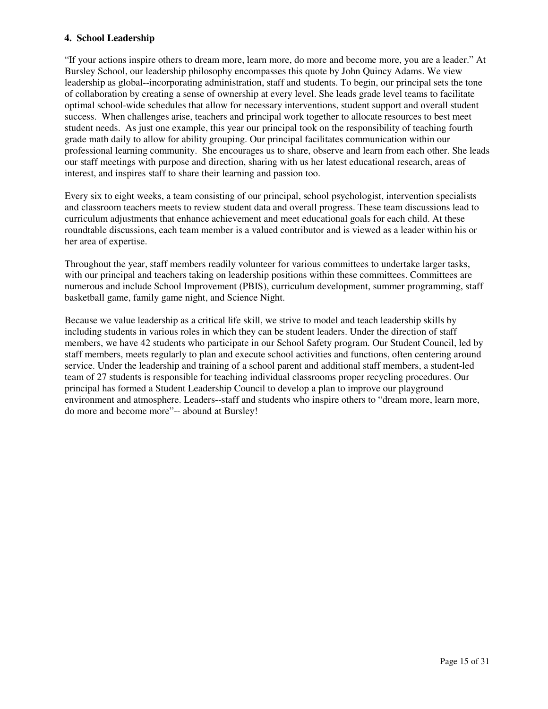#### **4. School Leadership**

"If your actions inspire others to dream more, learn more, do more and become more, you are a leader." At Bursley School, our leadership philosophy encompasses this quote by John Quincy Adams. We view leadership as global--incorporating administration, staff and students. To begin, our principal sets the tone of collaboration by creating a sense of ownership at every level. She leads grade level teams to facilitate optimal school-wide schedules that allow for necessary interventions, student support and overall student success. When challenges arise, teachers and principal work together to allocate resources to best meet student needs. As just one example, this year our principal took on the responsibility of teaching fourth grade math daily to allow for ability grouping. Our principal facilitates communication within our professional learning community. She encourages us to share, observe and learn from each other. She leads our staff meetings with purpose and direction, sharing with us her latest educational research, areas of interest, and inspires staff to share their learning and passion too.

Every six to eight weeks, a team consisting of our principal, school psychologist, intervention specialists and classroom teachers meets to review student data and overall progress. These team discussions lead to curriculum adjustments that enhance achievement and meet educational goals for each child. At these roundtable discussions, each team member is a valued contributor and is viewed as a leader within his or her area of expertise.

Throughout the year, staff members readily volunteer for various committees to undertake larger tasks, with our principal and teachers taking on leadership positions within these committees. Committees are numerous and include School Improvement (PBIS), curriculum development, summer programming, staff basketball game, family game night, and Science Night.

Because we value leadership as a critical life skill, we strive to model and teach leadership skills by including students in various roles in which they can be student leaders. Under the direction of staff members, we have 42 students who participate in our School Safety program. Our Student Council, led by staff members, meets regularly to plan and execute school activities and functions, often centering around service. Under the leadership and training of a school parent and additional staff members, a student-led team of 27 students is responsible for teaching individual classrooms proper recycling procedures. Our principal has formed a Student Leadership Council to develop a plan to improve our playground environment and atmosphere. Leaders--staff and students who inspire others to "dream more, learn more, do more and become more"-- abound at Bursley!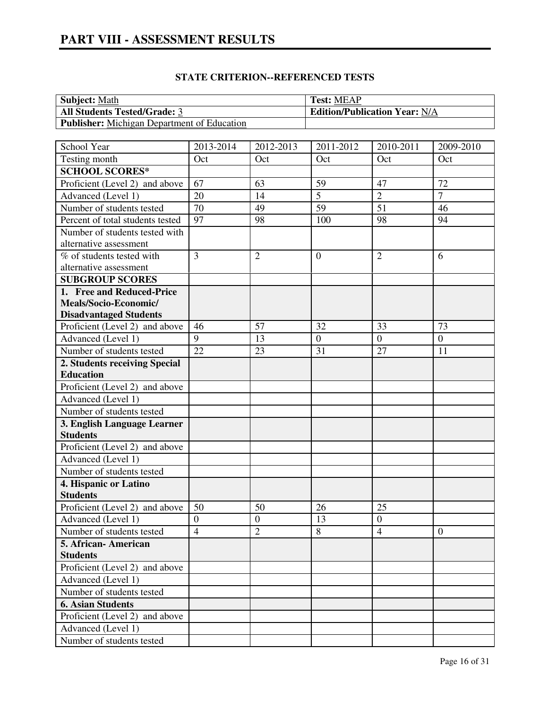| <b>Subject:</b> Math                               | <b>Test: MEAP</b>                    |
|----------------------------------------------------|--------------------------------------|
| <b>All Students Tested/Grade: 3</b>                | <b>Edition/Publication Year: N/A</b> |
| <b>Publisher:</b> Michigan Department of Education |                                      |

| School Year                      | 2013-2014      | 2012-2013        | 2011-2012       | 2010-2011        | 2009-2010        |
|----------------------------------|----------------|------------------|-----------------|------------------|------------------|
| Testing month                    | Oct            | Oct              | Oct             | Oct              | Oct              |
| <b>SCHOOL SCORES*</b>            |                |                  |                 |                  |                  |
| Proficient (Level 2) and above   | 67             | 63               | 59              | 47               | 72               |
| Advanced (Level 1)               | 20             | 14               | $\overline{5}$  | $\overline{2}$   | $\overline{7}$   |
| Number of students tested        | 70             | 49               | $\overline{59}$ | 51               | 46               |
| Percent of total students tested | 97             | 98               | 100             | 98               | 94               |
| Number of students tested with   |                |                  |                 |                  |                  |
| alternative assessment           |                |                  |                 |                  |                  |
| % of students tested with        | $\overline{3}$ | $\overline{2}$   | $\overline{0}$  | $\overline{2}$   | 6                |
| alternative assessment           |                |                  |                 |                  |                  |
| <b>SUBGROUP SCORES</b>           |                |                  |                 |                  |                  |
| 1. Free and Reduced-Price        |                |                  |                 |                  |                  |
| Meals/Socio-Economic/            |                |                  |                 |                  |                  |
| <b>Disadvantaged Students</b>    |                |                  |                 |                  |                  |
| Proficient (Level 2) and above   | 46             | 57               | 32              | 33               | 73               |
| Advanced (Level 1)               | 9              | 13               | $\overline{0}$  | $\overline{0}$   | $\overline{0}$   |
| Number of students tested        | 22             | 23               | 31              | 27               | 11               |
| 2. Students receiving Special    |                |                  |                 |                  |                  |
| <b>Education</b>                 |                |                  |                 |                  |                  |
| Proficient (Level 2) and above   |                |                  |                 |                  |                  |
| Advanced (Level 1)               |                |                  |                 |                  |                  |
| Number of students tested        |                |                  |                 |                  |                  |
| 3. English Language Learner      |                |                  |                 |                  |                  |
| <b>Students</b>                  |                |                  |                 |                  |                  |
| Proficient (Level 2) and above   |                |                  |                 |                  |                  |
| Advanced (Level 1)               |                |                  |                 |                  |                  |
| Number of students tested        |                |                  |                 |                  |                  |
| 4. Hispanic or Latino            |                |                  |                 |                  |                  |
| <b>Students</b>                  |                |                  |                 |                  |                  |
| Proficient (Level 2) and above   | 50             | 50               | 26              | 25               |                  |
| Advanced (Level 1)               | $\overline{0}$ | $\boldsymbol{0}$ | 13              | $\boldsymbol{0}$ |                  |
| Number of students tested        | $\overline{4}$ | $\overline{2}$   | 8               | $\overline{4}$   | $\boldsymbol{0}$ |
| 5. African-American              |                |                  |                 |                  |                  |
| <b>Students</b>                  |                |                  |                 |                  |                  |
| Proficient (Level 2) and above   |                |                  |                 |                  |                  |
| Advanced (Level 1)               |                |                  |                 |                  |                  |
| Number of students tested        |                |                  |                 |                  |                  |
| <b>6. Asian Students</b>         |                |                  |                 |                  |                  |
| Proficient (Level 2) and above   |                |                  |                 |                  |                  |
| Advanced (Level 1)               |                |                  |                 |                  |                  |
| Number of students tested        |                |                  |                 |                  |                  |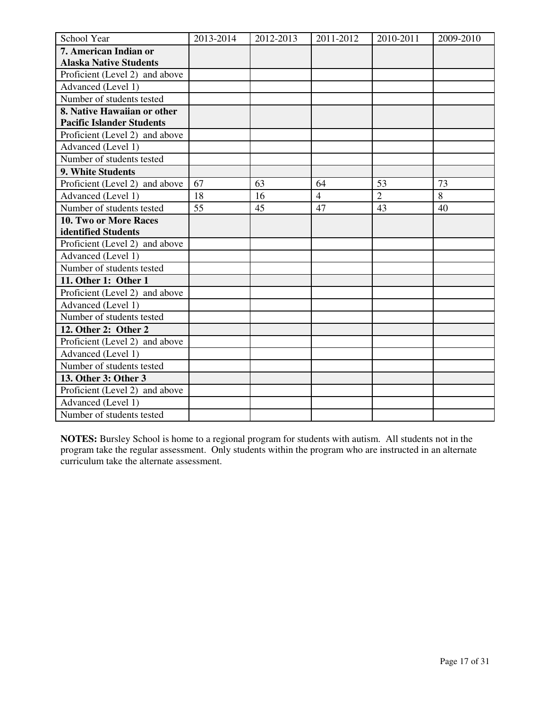| School Year                      | 2013-2014 | 2012-2013 | 2011-2012      | 2010-2011      | 2009-2010 |
|----------------------------------|-----------|-----------|----------------|----------------|-----------|
| 7. American Indian or            |           |           |                |                |           |
| <b>Alaska Native Students</b>    |           |           |                |                |           |
| Proficient (Level 2) and above   |           |           |                |                |           |
| Advanced (Level 1)               |           |           |                |                |           |
| Number of students tested        |           |           |                |                |           |
| 8. Native Hawaiian or other      |           |           |                |                |           |
| <b>Pacific Islander Students</b> |           |           |                |                |           |
| Proficient (Level 2) and above   |           |           |                |                |           |
| Advanced (Level 1)               |           |           |                |                |           |
| Number of students tested        |           |           |                |                |           |
| 9. White Students                |           |           |                |                |           |
| Proficient (Level 2) and above   | 67        | 63        | 64             | 53             | 73        |
| Advanced (Level 1)               | 18        | 16        | $\overline{4}$ | $\overline{2}$ | 8         |
| Number of students tested        | 55        | 45        | 47             | 43             | 40        |
| 10. Two or More Races            |           |           |                |                |           |
| identified Students              |           |           |                |                |           |
| Proficient (Level 2) and above   |           |           |                |                |           |
| Advanced (Level 1)               |           |           |                |                |           |
| Number of students tested        |           |           |                |                |           |
| 11. Other 1: Other 1             |           |           |                |                |           |
| Proficient (Level 2) and above   |           |           |                |                |           |
| Advanced (Level 1)               |           |           |                |                |           |
| Number of students tested        |           |           |                |                |           |
| 12. Other 2: Other 2             |           |           |                |                |           |
| Proficient (Level 2) and above   |           |           |                |                |           |
| Advanced (Level 1)               |           |           |                |                |           |
| Number of students tested        |           |           |                |                |           |
| 13. Other 3: Other 3             |           |           |                |                |           |
| Proficient (Level 2) and above   |           |           |                |                |           |
| Advanced (Level 1)               |           |           |                |                |           |
| Number of students tested        |           |           |                |                |           |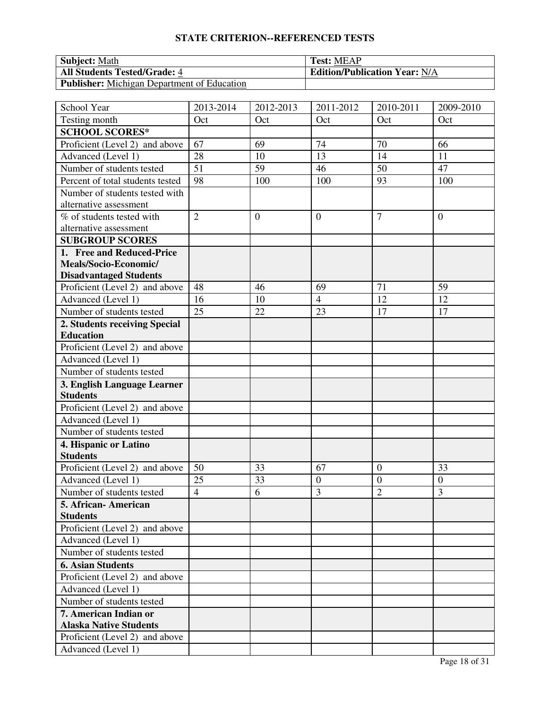| <b>Subject: Math</b>                        | <b>Test: MEAP</b>                    |
|---------------------------------------------|--------------------------------------|
| <b>All Students Tested/Grade: 4</b>         | <b>Edition/Publication Year: N/A</b> |
| Publisher: Michigan Department of Education |                                      |

| School Year                      | 2013-2014       | 2012-2013      | 2011-2012        | 2010-2011      | 2009-2010      |
|----------------------------------|-----------------|----------------|------------------|----------------|----------------|
| Testing month                    | Oct             | Oct            | Oct              | Oct            | Oct            |
| <b>SCHOOL SCORES*</b>            |                 |                |                  |                |                |
| Proficient (Level 2) and above   | 67              | 69             | 74               | 70             | 66             |
| Advanced (Level 1)               | 28              | 10             | 13               | 14             | 11             |
| Number of students tested        | $\overline{51}$ | 59             | 46               | 50             | 47             |
| Percent of total students tested | 98              | 100            | 100              | 93             | 100            |
| Number of students tested with   |                 |                |                  |                |                |
| alternative assessment           |                 |                |                  |                |                |
| % of students tested with        | $\overline{2}$  | $\overline{0}$ | $\overline{0}$   | $\overline{7}$ | $\overline{0}$ |
| alternative assessment           |                 |                |                  |                |                |
| <b>SUBGROUP SCORES</b>           |                 |                |                  |                |                |
| 1. Free and Reduced-Price        |                 |                |                  |                |                |
| Meals/Socio-Economic/            |                 |                |                  |                |                |
| <b>Disadvantaged Students</b>    |                 |                |                  |                |                |
| Proficient (Level 2) and above   | 48              | 46             | 69               | 71             | 59             |
| Advanced (Level 1)               | 16              | 10             | $\overline{4}$   | 12             | 12             |
| Number of students tested        | 25              | 22             | 23               | 17             | 17             |
| 2. Students receiving Special    |                 |                |                  |                |                |
| <b>Education</b>                 |                 |                |                  |                |                |
| Proficient (Level 2) and above   |                 |                |                  |                |                |
| Advanced (Level 1)               |                 |                |                  |                |                |
| Number of students tested        |                 |                |                  |                |                |
| 3. English Language Learner      |                 |                |                  |                |                |
| <b>Students</b>                  |                 |                |                  |                |                |
| Proficient (Level 2) and above   |                 |                |                  |                |                |
| Advanced (Level 1)               |                 |                |                  |                |                |
| Number of students tested        |                 |                |                  |                |                |
| 4. Hispanic or Latino            |                 |                |                  |                |                |
| <b>Students</b>                  |                 |                |                  |                |                |
| Proficient (Level 2) and above   | 50              | 33             | 67               | $\overline{0}$ | 33             |
| Advanced (Level 1)               | 25              | 33             | $\boldsymbol{0}$ | $\overline{0}$ | $\overline{0}$ |
| Number of students tested        | $\overline{4}$  | 6              | 3                | $\overline{2}$ | 3              |
| 5. African- American             |                 |                |                  |                |                |
| <b>Students</b>                  |                 |                |                  |                |                |
| Proficient (Level 2) and above   |                 |                |                  |                |                |
| Advanced (Level 1)               |                 |                |                  |                |                |
| Number of students tested        |                 |                |                  |                |                |
| <b>6. Asian Students</b>         |                 |                |                  |                |                |
| Proficient (Level 2) and above   |                 |                |                  |                |                |
| Advanced (Level 1)               |                 |                |                  |                |                |
| Number of students tested        |                 |                |                  |                |                |
| 7. American Indian or            |                 |                |                  |                |                |
| <b>Alaska Native Students</b>    |                 |                |                  |                |                |
| Proficient (Level 2) and above   |                 |                |                  |                |                |
| Advanced (Level 1)               |                 |                |                  |                |                |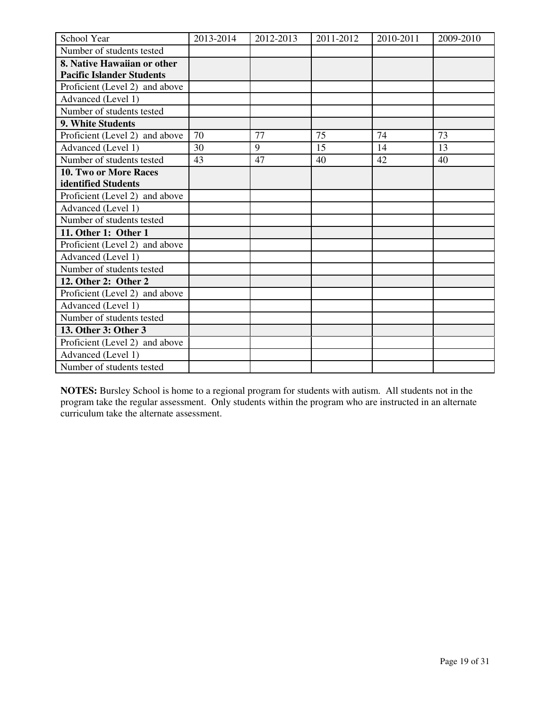| School Year                      | 2013-2014 | 2012-2013 | 2011-2012 | 2010-2011 | 2009-2010 |
|----------------------------------|-----------|-----------|-----------|-----------|-----------|
| Number of students tested        |           |           |           |           |           |
| 8. Native Hawaiian or other      |           |           |           |           |           |
| <b>Pacific Islander Students</b> |           |           |           |           |           |
| Proficient (Level 2) and above   |           |           |           |           |           |
| Advanced (Level 1)               |           |           |           |           |           |
| Number of students tested        |           |           |           |           |           |
| 9. White Students                |           |           |           |           |           |
| Proficient (Level 2) and above   | 70        | 77        | 75        | 74        | 73        |
| Advanced (Level 1)               | 30        | 9         | 15        | 14        | 13        |
| Number of students tested        | 43        | 47        | 40        | 42        | 40        |
| <b>10. Two or More Races</b>     |           |           |           |           |           |
| identified Students              |           |           |           |           |           |
| Proficient (Level 2) and above   |           |           |           |           |           |
| Advanced (Level 1)               |           |           |           |           |           |
| Number of students tested        |           |           |           |           |           |
| 11. Other 1: Other 1             |           |           |           |           |           |
| Proficient (Level 2) and above   |           |           |           |           |           |
| Advanced (Level 1)               |           |           |           |           |           |
| Number of students tested        |           |           |           |           |           |
| 12. Other 2: Other 2             |           |           |           |           |           |
| Proficient (Level 2) and above   |           |           |           |           |           |
| Advanced (Level 1)               |           |           |           |           |           |
| Number of students tested        |           |           |           |           |           |
| 13. Other 3: Other 3             |           |           |           |           |           |
| Proficient (Level 2) and above   |           |           |           |           |           |
| Advanced (Level 1)               |           |           |           |           |           |
| Number of students tested        |           |           |           |           |           |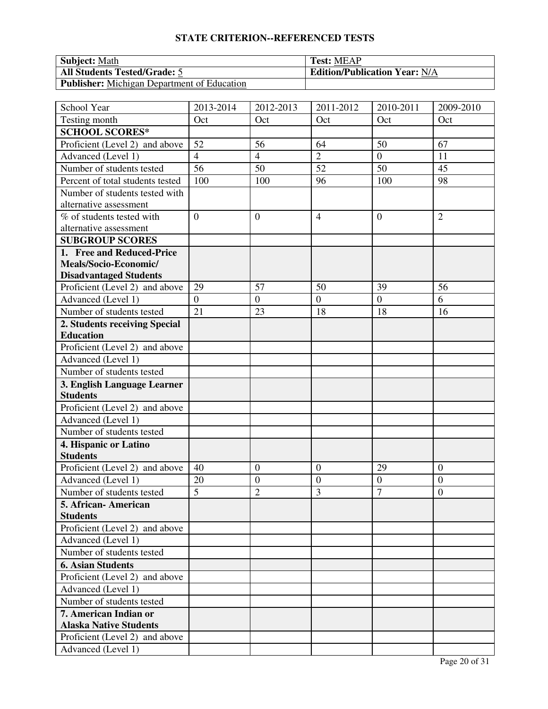| <b>Subject: Math</b>                        | <b>Test: MEAP</b>                    |
|---------------------------------------------|--------------------------------------|
| <b>All Students Tested/Grade: 5</b>         | <b>Edition/Publication Year: N/A</b> |
| Publisher: Michigan Department of Education |                                      |

| School Year                      | 2013-2014      | 2012-2013        | 2011-2012       | 2010-2011        | 2009-2010        |
|----------------------------------|----------------|------------------|-----------------|------------------|------------------|
| Testing month                    | Oct            | Oct              | Oct             | Oct              | Oct              |
| <b>SCHOOL SCORES*</b>            |                |                  |                 |                  |                  |
| Proficient (Level 2) and above   | 52             | 56               | 64              | 50               | 67               |
| Advanced (Level 1)               | $\overline{4}$ | $\overline{4}$   | $\overline{2}$  | $\overline{0}$   | 11               |
| Number of students tested        | 56             | 50               | $\overline{52}$ | 50               | 45               |
| Percent of total students tested | 100            | 100              | 96              | 100              | 98               |
| Number of students tested with   |                |                  |                 |                  |                  |
| alternative assessment           |                |                  |                 |                  |                  |
| % of students tested with        | $\overline{0}$ | $\overline{0}$   | $\overline{4}$  | $\overline{0}$   | $\overline{2}$   |
| alternative assessment           |                |                  |                 |                  |                  |
| <b>SUBGROUP SCORES</b>           |                |                  |                 |                  |                  |
| 1. Free and Reduced-Price        |                |                  |                 |                  |                  |
| Meals/Socio-Economic/            |                |                  |                 |                  |                  |
| <b>Disadvantaged Students</b>    |                |                  |                 |                  |                  |
| Proficient (Level 2) and above   | 29             | 57               | 50              | 39               | 56               |
| Advanced (Level 1)               | $\overline{0}$ | $\boldsymbol{0}$ | $\overline{0}$  | $\overline{0}$   | 6                |
| Number of students tested        | 21             | 23               | 18              | 18               | 16               |
| 2. Students receiving Special    |                |                  |                 |                  |                  |
| <b>Education</b>                 |                |                  |                 |                  |                  |
| Proficient (Level 2) and above   |                |                  |                 |                  |                  |
| Advanced (Level 1)               |                |                  |                 |                  |                  |
| Number of students tested        |                |                  |                 |                  |                  |
| 3. English Language Learner      |                |                  |                 |                  |                  |
| <b>Students</b>                  |                |                  |                 |                  |                  |
| Proficient (Level 2) and above   |                |                  |                 |                  |                  |
| Advanced (Level 1)               |                |                  |                 |                  |                  |
| Number of students tested        |                |                  |                 |                  |                  |
| 4. Hispanic or Latino            |                |                  |                 |                  |                  |
| <b>Students</b>                  |                |                  |                 |                  |                  |
| Proficient (Level 2) and above   | 40             | $\overline{0}$   | $\mathbf{0}$    | 29               | $\overline{0}$   |
| Advanced (Level 1)               | 20             | $\boldsymbol{0}$ | $\mathbf{0}$    | $\boldsymbol{0}$ | $\overline{0}$   |
| Number of students tested        | $\overline{5}$ | $\overline{c}$   | 3               | $\overline{7}$   | $\boldsymbol{0}$ |
| 5. African- American             |                |                  |                 |                  |                  |
| <b>Students</b>                  |                |                  |                 |                  |                  |
| Proficient (Level 2) and above   |                |                  |                 |                  |                  |
| Advanced (Level 1)               |                |                  |                 |                  |                  |
| Number of students tested        |                |                  |                 |                  |                  |
| <b>6. Asian Students</b>         |                |                  |                 |                  |                  |
| Proficient (Level 2) and above   |                |                  |                 |                  |                  |
| Advanced (Level 1)               |                |                  |                 |                  |                  |
| Number of students tested        |                |                  |                 |                  |                  |
| 7. American Indian or            |                |                  |                 |                  |                  |
| <b>Alaska Native Students</b>    |                |                  |                 |                  |                  |
| Proficient (Level 2) and above   |                |                  |                 |                  |                  |
| Advanced (Level 1)               |                |                  |                 |                  |                  |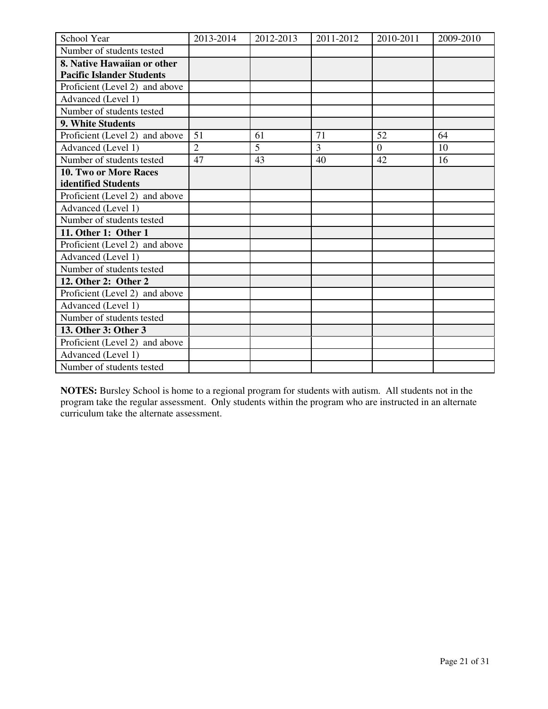| School Year                      | 2013-2014      | 2012-2013 | 2011-2012      | 2010-2011 | 2009-2010 |
|----------------------------------|----------------|-----------|----------------|-----------|-----------|
| Number of students tested        |                |           |                |           |           |
| 8. Native Hawaiian or other      |                |           |                |           |           |
| <b>Pacific Islander Students</b> |                |           |                |           |           |
| Proficient (Level 2) and above   |                |           |                |           |           |
| Advanced (Level 1)               |                |           |                |           |           |
| Number of students tested        |                |           |                |           |           |
| 9. White Students                |                |           |                |           |           |
| Proficient (Level 2) and above   | 51             | 61        | 71             | 52        | 64        |
| Advanced (Level 1)               | $\overline{2}$ | 5         | $\overline{3}$ | $\theta$  | 10        |
| Number of students tested        | 47             | 43        | 40             | 42        | 16        |
| <b>10. Two or More Races</b>     |                |           |                |           |           |
| identified Students              |                |           |                |           |           |
| Proficient (Level 2) and above   |                |           |                |           |           |
| Advanced (Level 1)               |                |           |                |           |           |
| Number of students tested        |                |           |                |           |           |
| 11. Other 1: Other 1             |                |           |                |           |           |
| Proficient (Level 2) and above   |                |           |                |           |           |
| Advanced (Level 1)               |                |           |                |           |           |
| Number of students tested        |                |           |                |           |           |
| 12. Other 2: Other 2             |                |           |                |           |           |
| Proficient (Level 2) and above   |                |           |                |           |           |
| Advanced (Level 1)               |                |           |                |           |           |
| Number of students tested        |                |           |                |           |           |
| 13. Other 3: Other 3             |                |           |                |           |           |
| Proficient (Level 2) and above   |                |           |                |           |           |
| Advanced (Level 1)               |                |           |                |           |           |
| Number of students tested        |                |           |                |           |           |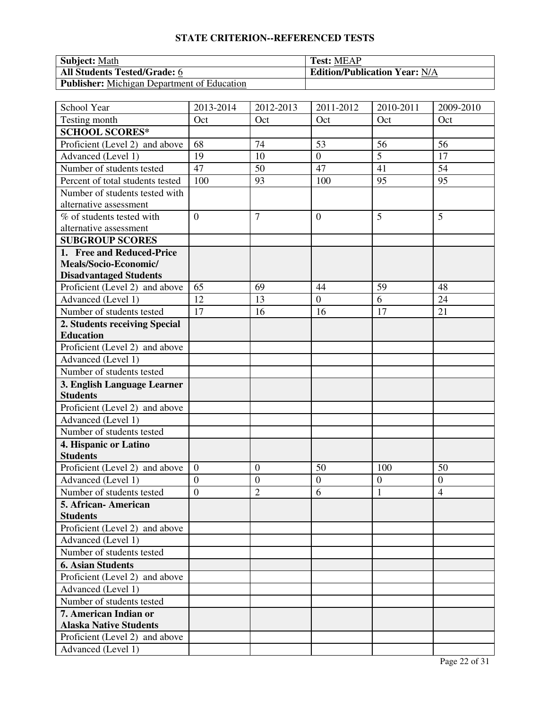| <b>Subject: Math</b>                        | <b>Test: MEAP</b>                    |
|---------------------------------------------|--------------------------------------|
| <b>All Students Tested/Grade: 6</b>         | <b>Edition/Publication Year: N/A</b> |
| Publisher: Michigan Department of Education |                                      |

| School Year                      | 2013-2014      | 2012-2013        | 2011-2012        | 2010-2011        | 2009-2010      |
|----------------------------------|----------------|------------------|------------------|------------------|----------------|
| Testing month                    | Oct            | Oct              | Oct              | Oct              | Oct            |
| <b>SCHOOL SCORES*</b>            |                |                  |                  |                  |                |
| Proficient (Level 2) and above   | 68             | 74               | 53               | 56               | 56             |
| Advanced (Level 1)               | 19             | 10               | $\overline{0}$   | 5                | 17             |
| Number of students tested        | 47             | 50               | 47               | 41               | 54             |
| Percent of total students tested | 100            | 93               | 100              | 95               | 95             |
| Number of students tested with   |                |                  |                  |                  |                |
| alternative assessment           |                |                  |                  |                  |                |
| % of students tested with        | $\overline{0}$ | $\overline{7}$   | $\overline{0}$   | 5                | 5              |
| alternative assessment           |                |                  |                  |                  |                |
| <b>SUBGROUP SCORES</b>           |                |                  |                  |                  |                |
| 1. Free and Reduced-Price        |                |                  |                  |                  |                |
| Meals/Socio-Economic/            |                |                  |                  |                  |                |
| <b>Disadvantaged Students</b>    |                |                  |                  |                  |                |
| Proficient (Level 2) and above   | 65             | 69               | 44               | 59               | 48             |
| Advanced (Level 1)               | 12             | 13               | $\overline{0}$   | 6                | 24             |
| Number of students tested        | 17             | 16               | 16               | 17               | 21             |
| 2. Students receiving Special    |                |                  |                  |                  |                |
| <b>Education</b>                 |                |                  |                  |                  |                |
| Proficient (Level 2) and above   |                |                  |                  |                  |                |
| Advanced (Level 1)               |                |                  |                  |                  |                |
| Number of students tested        |                |                  |                  |                  |                |
| 3. English Language Learner      |                |                  |                  |                  |                |
| <b>Students</b>                  |                |                  |                  |                  |                |
| Proficient (Level 2) and above   |                |                  |                  |                  |                |
| Advanced (Level 1)               |                |                  |                  |                  |                |
| Number of students tested        |                |                  |                  |                  |                |
| 4. Hispanic or Latino            |                |                  |                  |                  |                |
| <b>Students</b>                  |                |                  |                  |                  |                |
| Proficient (Level 2) and above   | $\overline{0}$ | $\overline{0}$   | 50               | 100              | 50             |
| Advanced (Level 1)               | $\overline{0}$ | $\boldsymbol{0}$ | $\boldsymbol{0}$ | $\boldsymbol{0}$ | $\overline{0}$ |
| Number of students tested        | $\overline{0}$ | $\overline{c}$   | 6                | 1                | $\overline{4}$ |
| 5. African- American             |                |                  |                  |                  |                |
| <b>Students</b>                  |                |                  |                  |                  |                |
| Proficient (Level 2) and above   |                |                  |                  |                  |                |
| Advanced (Level 1)               |                |                  |                  |                  |                |
| Number of students tested        |                |                  |                  |                  |                |
| <b>6. Asian Students</b>         |                |                  |                  |                  |                |
| Proficient (Level 2) and above   |                |                  |                  |                  |                |
| Advanced (Level 1)               |                |                  |                  |                  |                |
| Number of students tested        |                |                  |                  |                  |                |
| 7. American Indian or            |                |                  |                  |                  |                |
| <b>Alaska Native Students</b>    |                |                  |                  |                  |                |
| Proficient (Level 2) and above   |                |                  |                  |                  |                |
| Advanced (Level 1)               |                |                  |                  |                  |                |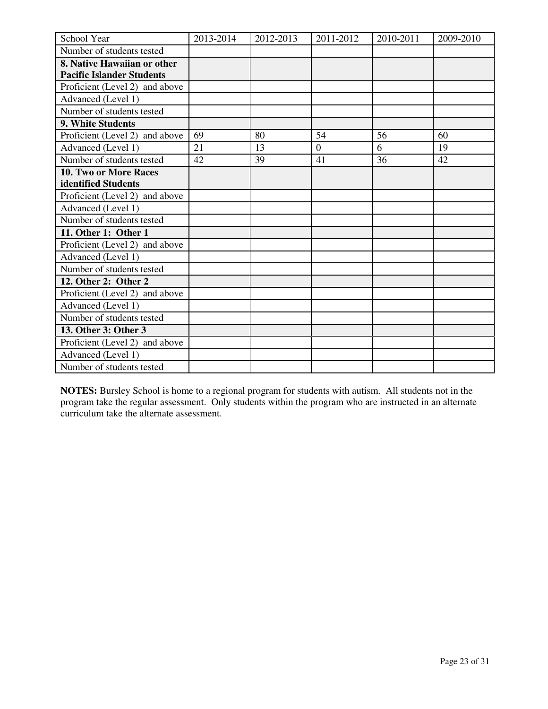| School Year                      | 2013-2014 | 2012-2013 | 2011-2012      | 2010-2011 | 2009-2010 |
|----------------------------------|-----------|-----------|----------------|-----------|-----------|
| Number of students tested        |           |           |                |           |           |
| 8. Native Hawaiian or other      |           |           |                |           |           |
| <b>Pacific Islander Students</b> |           |           |                |           |           |
| Proficient (Level 2) and above   |           |           |                |           |           |
| Advanced (Level 1)               |           |           |                |           |           |
| Number of students tested        |           |           |                |           |           |
| 9. White Students                |           |           |                |           |           |
| Proficient (Level 2) and above   | 69        | 80        | 54             | 56        | 60        |
| Advanced (Level 1)               | 21        | 13        | $\overline{0}$ | 6         | 19        |
| Number of students tested        | 42        | 39        | 41             | 36        | 42        |
| 10. Two or More Races            |           |           |                |           |           |
| identified Students              |           |           |                |           |           |
| Proficient (Level 2) and above   |           |           |                |           |           |
| Advanced (Level 1)               |           |           |                |           |           |
| Number of students tested        |           |           |                |           |           |
| 11. Other 1: Other 1             |           |           |                |           |           |
| Proficient (Level 2) and above   |           |           |                |           |           |
| Advanced (Level 1)               |           |           |                |           |           |
| Number of students tested        |           |           |                |           |           |
| 12. Other 2: Other 2             |           |           |                |           |           |
| Proficient (Level 2) and above   |           |           |                |           |           |
| Advanced (Level 1)               |           |           |                |           |           |
| Number of students tested        |           |           |                |           |           |
| 13. Other 3: Other 3             |           |           |                |           |           |
| Proficient (Level 2) and above   |           |           |                |           |           |
| Advanced (Level 1)               |           |           |                |           |           |
| Number of students tested        |           |           |                |           |           |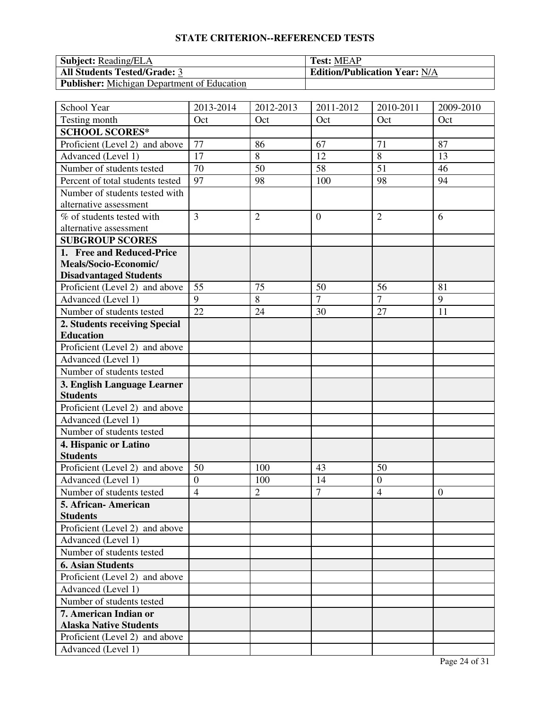| <b>Subject:</b> Reading/ELA                        | <b>Test: MEAP</b>                    |
|----------------------------------------------------|--------------------------------------|
| <b>All Students Tested/Grade: 3</b>                | <b>Edition/Publication Year: N/A</b> |
| <b>Publisher:</b> Michigan Department of Education |                                      |

| School Year                      | 2013-2014       | 2012-2013      | 2011-2012      | 2010-2011      | 2009-2010      |
|----------------------------------|-----------------|----------------|----------------|----------------|----------------|
| Testing month                    | Oct             | Oct            | Oct            | Oct            | Oct            |
| <b>SCHOOL SCORES*</b>            |                 |                |                |                |                |
| Proficient (Level 2) and above   | 77              | 86             | 67             | 71             | 87             |
| Advanced (Level 1)               | 17              | $\,8\,$        | 12             | 8              | 13             |
| Number of students tested        | $\overline{70}$ | 50             | 58             | 51             | 46             |
| Percent of total students tested | 97              | 98             | 100            | 98             | 94             |
| Number of students tested with   |                 |                |                |                |                |
| alternative assessment           |                 |                |                |                |                |
| % of students tested with        | $\overline{3}$  | $\overline{2}$ | $\overline{0}$ | $\overline{2}$ | 6              |
| alternative assessment           |                 |                |                |                |                |
| <b>SUBGROUP SCORES</b>           |                 |                |                |                |                |
| 1. Free and Reduced-Price        |                 |                |                |                |                |
| Meals/Socio-Economic/            |                 |                |                |                |                |
| <b>Disadvantaged Students</b>    |                 |                |                |                |                |
| Proficient (Level 2) and above   | 55              | 75             | 50             | 56             | 81             |
| Advanced (Level 1)               | 9               | 8              | $\overline{7}$ | $\overline{7}$ | 9              |
| Number of students tested        | 22              | 24             | 30             | 27             | 11             |
| 2. Students receiving Special    |                 |                |                |                |                |
| <b>Education</b>                 |                 |                |                |                |                |
| Proficient (Level 2) and above   |                 |                |                |                |                |
| Advanced (Level 1)               |                 |                |                |                |                |
| Number of students tested        |                 |                |                |                |                |
| 3. English Language Learner      |                 |                |                |                |                |
| <b>Students</b>                  |                 |                |                |                |                |
| Proficient (Level 2) and above   |                 |                |                |                |                |
| Advanced (Level 1)               |                 |                |                |                |                |
| Number of students tested        |                 |                |                |                |                |
| 4. Hispanic or Latino            |                 |                |                |                |                |
| <b>Students</b>                  |                 |                |                |                |                |
| Proficient (Level 2) and above   | 50              | 100            | 43             | 50             |                |
| Advanced (Level 1)               | $\overline{0}$  | 100            | 14             | $\overline{0}$ |                |
| Number of students tested        | $\overline{4}$  | $\overline{2}$ | $\overline{7}$ | $\overline{4}$ | $\overline{0}$ |
| 5. African- American             |                 |                |                |                |                |
| <b>Students</b>                  |                 |                |                |                |                |
| Proficient (Level 2) and above   |                 |                |                |                |                |
| Advanced (Level 1)               |                 |                |                |                |                |
| Number of students tested        |                 |                |                |                |                |
| <b>6. Asian Students</b>         |                 |                |                |                |                |
| Proficient (Level 2) and above   |                 |                |                |                |                |
| Advanced (Level 1)               |                 |                |                |                |                |
| Number of students tested        |                 |                |                |                |                |
| 7. American Indian or            |                 |                |                |                |                |
| <b>Alaska Native Students</b>    |                 |                |                |                |                |
| Proficient (Level 2) and above   |                 |                |                |                |                |
| Advanced (Level 1)               |                 |                |                |                |                |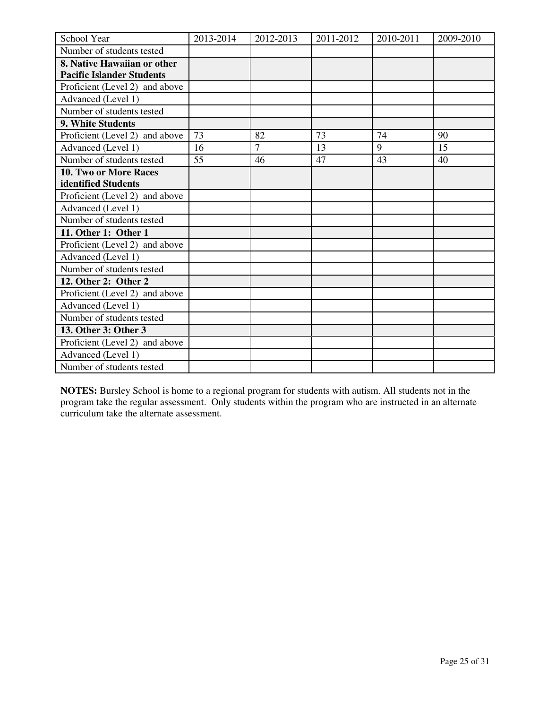| School Year                      | 2013-2014 | 2012-2013      | 2011-2012 | 2010-2011 | 2009-2010 |
|----------------------------------|-----------|----------------|-----------|-----------|-----------|
| Number of students tested        |           |                |           |           |           |
| 8. Native Hawaiian or other      |           |                |           |           |           |
| <b>Pacific Islander Students</b> |           |                |           |           |           |
| Proficient (Level 2) and above   |           |                |           |           |           |
| Advanced (Level 1)               |           |                |           |           |           |
| Number of students tested        |           |                |           |           |           |
| 9. White Students                |           |                |           |           |           |
| Proficient (Level 2) and above   | 73        | 82             | 73        | 74        | 90        |
| Advanced (Level 1)               | 16        | $\overline{7}$ | 13        | 9         | 15        |
| Number of students tested        | 55        | 46             | 47        | 43        | 40        |
| 10. Two or More Races            |           |                |           |           |           |
| identified Students              |           |                |           |           |           |
| Proficient (Level 2) and above   |           |                |           |           |           |
| Advanced (Level 1)               |           |                |           |           |           |
| Number of students tested        |           |                |           |           |           |
| 11. Other 1: Other 1             |           |                |           |           |           |
| Proficient (Level 2) and above   |           |                |           |           |           |
| Advanced (Level 1)               |           |                |           |           |           |
| Number of students tested        |           |                |           |           |           |
| 12. Other 2: Other 2             |           |                |           |           |           |
| Proficient (Level 2) and above   |           |                |           |           |           |
| Advanced (Level 1)               |           |                |           |           |           |
| Number of students tested        |           |                |           |           |           |
| 13. Other 3: Other 3             |           |                |           |           |           |
| Proficient (Level 2) and above   |           |                |           |           |           |
| Advanced (Level 1)               |           |                |           |           |           |
| Number of students tested        |           |                |           |           |           |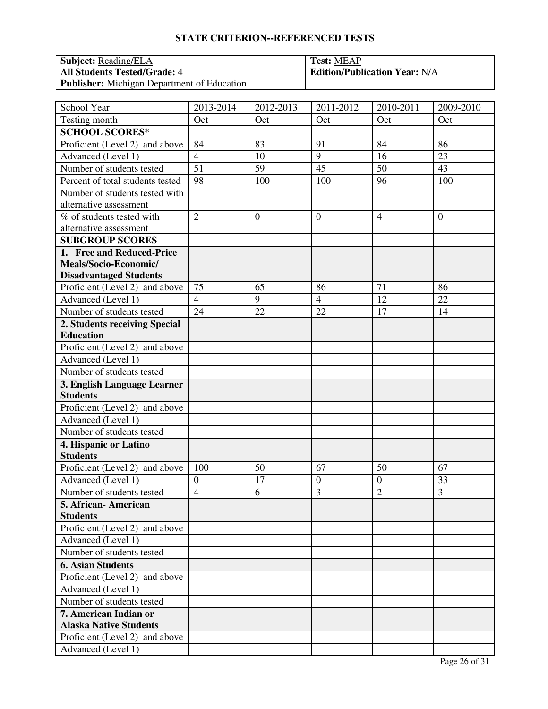| <b>Subject:</b> Reading/ELA                        | <b>Test: MEAP</b>                    |
|----------------------------------------------------|--------------------------------------|
| <b>All Students Tested/Grade: 4</b>                | <b>Edition/Publication Year: N/A</b> |
| <b>Publisher:</b> Michigan Department of Education |                                      |

| School Year                      | 2013-2014        | 2012-2013      | 2011-2012        | 2010-2011      | 2009-2010      |
|----------------------------------|------------------|----------------|------------------|----------------|----------------|
| Testing month                    | Oct              | Oct            | Oct              | Oct            | Oct            |
| <b>SCHOOL SCORES*</b>            |                  |                |                  |                |                |
| Proficient (Level 2) and above   | 84               | 83             | 91               | 84             | 86             |
| Advanced (Level 1)               | $\overline{4}$   | 10             | 9                | 16             | 23             |
| Number of students tested        | $\overline{51}$  | 59             | 45               | 50             | 43             |
| Percent of total students tested | 98               | 100            | 100              | 96             | 100            |
| Number of students tested with   |                  |                |                  |                |                |
| alternative assessment           |                  |                |                  |                |                |
| % of students tested with        | $\overline{2}$   | $\overline{0}$ | $\overline{0}$   | $\overline{4}$ | $\overline{0}$ |
| alternative assessment           |                  |                |                  |                |                |
| <b>SUBGROUP SCORES</b>           |                  |                |                  |                |                |
| 1. Free and Reduced-Price        |                  |                |                  |                |                |
| Meals/Socio-Economic/            |                  |                |                  |                |                |
| <b>Disadvantaged Students</b>    |                  |                |                  |                |                |
| Proficient (Level 2) and above   | 75               | 65             | 86               | 71             | 86             |
| Advanced (Level 1)               | $\overline{4}$   | 9              | $\overline{4}$   | 12             | 22             |
| Number of students tested        | 24               | 22             | 22               | 17             | 14             |
| 2. Students receiving Special    |                  |                |                  |                |                |
| <b>Education</b>                 |                  |                |                  |                |                |
| Proficient (Level 2) and above   |                  |                |                  |                |                |
| Advanced (Level 1)               |                  |                |                  |                |                |
| Number of students tested        |                  |                |                  |                |                |
| 3. English Language Learner      |                  |                |                  |                |                |
| <b>Students</b>                  |                  |                |                  |                |                |
| Proficient (Level 2) and above   |                  |                |                  |                |                |
| Advanced (Level 1)               |                  |                |                  |                |                |
| Number of students tested        |                  |                |                  |                |                |
| 4. Hispanic or Latino            |                  |                |                  |                |                |
| <b>Students</b>                  |                  |                |                  |                |                |
| Proficient (Level 2) and above   | 100              | 50             | 67               | 50             | 67             |
| Advanced (Level 1)               | $\boldsymbol{0}$ | 17             | $\boldsymbol{0}$ | $\overline{0}$ | 33             |
| Number of students tested        | $\overline{4}$   | 6              | 3                | $\overline{2}$ | 3              |
| 5. African-American              |                  |                |                  |                |                |
| <b>Students</b>                  |                  |                |                  |                |                |
| Proficient (Level 2) and above   |                  |                |                  |                |                |
| Advanced (Level 1)               |                  |                |                  |                |                |
| Number of students tested        |                  |                |                  |                |                |
| <b>6. Asian Students</b>         |                  |                |                  |                |                |
| Proficient (Level 2) and above   |                  |                |                  |                |                |
| Advanced (Level 1)               |                  |                |                  |                |                |
| Number of students tested        |                  |                |                  |                |                |
| 7. American Indian or            |                  |                |                  |                |                |
| <b>Alaska Native Students</b>    |                  |                |                  |                |                |
| Proficient (Level 2) and above   |                  |                |                  |                |                |
| Advanced (Level 1)               |                  |                |                  |                |                |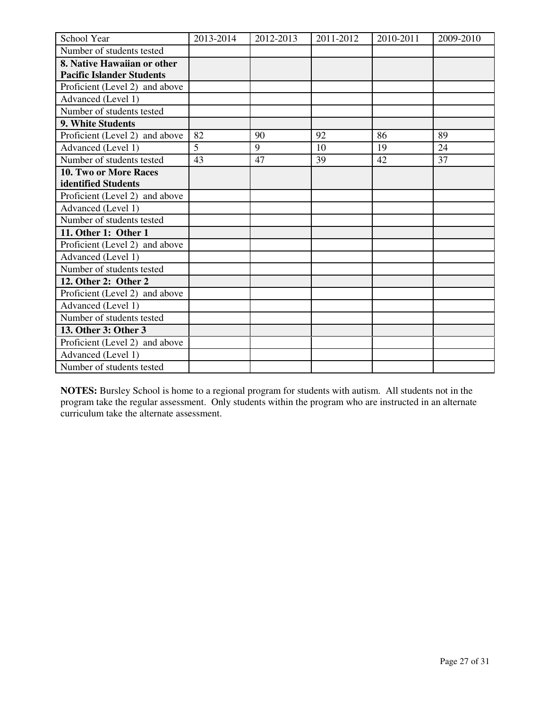| School Year                      | 2013-2014 | 2012-2013 | 2011-2012 | 2010-2011 | 2009-2010 |
|----------------------------------|-----------|-----------|-----------|-----------|-----------|
| Number of students tested        |           |           |           |           |           |
| 8. Native Hawaiian or other      |           |           |           |           |           |
| <b>Pacific Islander Students</b> |           |           |           |           |           |
| Proficient (Level 2) and above   |           |           |           |           |           |
| Advanced (Level 1)               |           |           |           |           |           |
| Number of students tested        |           |           |           |           |           |
| 9. White Students                |           |           |           |           |           |
| Proficient (Level 2) and above   | 82        | 90        | 92        | 86        | 89        |
| Advanced (Level 1)               | 5         | 9         | 10        | 19        | 24        |
| Number of students tested        | 43        | 47        | 39        | 42        | 37        |
| <b>10. Two or More Races</b>     |           |           |           |           |           |
| identified Students              |           |           |           |           |           |
| Proficient (Level 2) and above   |           |           |           |           |           |
| Advanced (Level 1)               |           |           |           |           |           |
| Number of students tested        |           |           |           |           |           |
| 11. Other 1: Other 1             |           |           |           |           |           |
| Proficient (Level 2) and above   |           |           |           |           |           |
| Advanced (Level 1)               |           |           |           |           |           |
| Number of students tested        |           |           |           |           |           |
| 12. Other 2: Other 2             |           |           |           |           |           |
| Proficient (Level 2) and above   |           |           |           |           |           |
| Advanced (Level 1)               |           |           |           |           |           |
| Number of students tested        |           |           |           |           |           |
| 13. Other 3: Other 3             |           |           |           |           |           |
| Proficient (Level 2) and above   |           |           |           |           |           |
| Advanced (Level 1)               |           |           |           |           |           |
| Number of students tested        |           |           |           |           |           |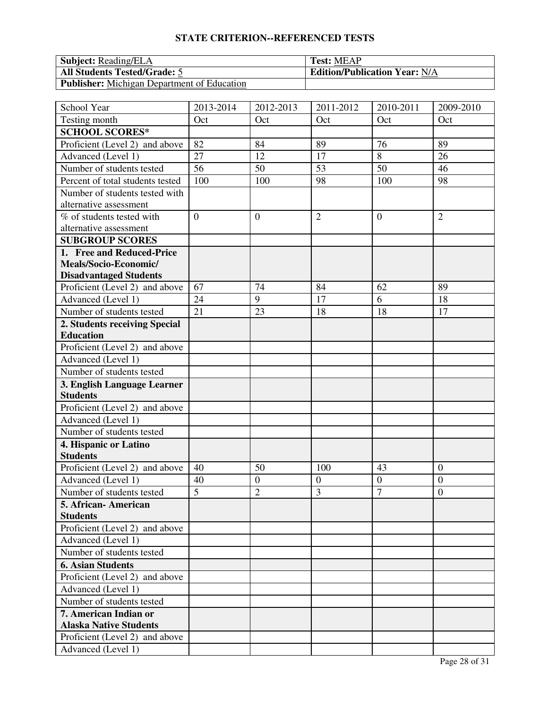| <b>Subject:</b> Reading/ELA                        | <b>Test: MEAP</b>                    |
|----------------------------------------------------|--------------------------------------|
| <b>All Students Tested/Grade: 5</b>                | <b>Edition/Publication Year: N/A</b> |
| <b>Publisher:</b> Michigan Department of Education |                                      |

| School Year                      | 2013-2014      | 2012-2013        | 2011-2012      | 2010-2011        | 2009-2010        |
|----------------------------------|----------------|------------------|----------------|------------------|------------------|
| Testing month                    | Oct            | Oct              | Oct            | Oct              | Oct              |
| <b>SCHOOL SCORES*</b>            |                |                  |                |                  |                  |
| Proficient (Level 2) and above   | 82             | 84               | 89             | 76               | 89               |
| Advanced (Level 1)               | 27             | 12               | 17             | 8                | 26               |
| Number of students tested        | 56             | 50               | 53             | 50               | 46               |
| Percent of total students tested | 100            | 100              | 98             | 100              | 98               |
| Number of students tested with   |                |                  |                |                  |                  |
| alternative assessment           |                |                  |                |                  |                  |
| % of students tested with        | $\overline{0}$ | $\overline{0}$   | $\overline{2}$ | $\overline{0}$   | $\overline{2}$   |
| alternative assessment           |                |                  |                |                  |                  |
| <b>SUBGROUP SCORES</b>           |                |                  |                |                  |                  |
| 1. Free and Reduced-Price        |                |                  |                |                  |                  |
| Meals/Socio-Economic/            |                |                  |                |                  |                  |
| <b>Disadvantaged Students</b>    |                |                  |                |                  |                  |
| Proficient (Level 2) and above   | 67             | 74               | 84             | 62               | 89               |
| Advanced (Level 1)               | 24             | 9                | 17             | 6                | 18               |
| Number of students tested        | 21             | 23               | 18             | 18               | 17               |
| 2. Students receiving Special    |                |                  |                |                  |                  |
| <b>Education</b>                 |                |                  |                |                  |                  |
| Proficient (Level 2) and above   |                |                  |                |                  |                  |
| Advanced (Level 1)               |                |                  |                |                  |                  |
| Number of students tested        |                |                  |                |                  |                  |
| 3. English Language Learner      |                |                  |                |                  |                  |
| <b>Students</b>                  |                |                  |                |                  |                  |
| Proficient (Level 2) and above   |                |                  |                |                  |                  |
| Advanced (Level 1)               |                |                  |                |                  |                  |
| Number of students tested        |                |                  |                |                  |                  |
| 4. Hispanic or Latino            |                |                  |                |                  |                  |
| <b>Students</b>                  |                |                  |                |                  |                  |
| Proficient (Level 2) and above   | 40             | 50               | 100            | 43               | $\overline{0}$   |
| Advanced (Level 1)               | 40             | $\boldsymbol{0}$ | $\overline{0}$ | $\boldsymbol{0}$ | $\overline{0}$   |
| Number of students tested        | $\overline{5}$ | $\overline{2}$   | 3              | $\overline{7}$   | $\boldsymbol{0}$ |
| 5. African- American             |                |                  |                |                  |                  |
| <b>Students</b>                  |                |                  |                |                  |                  |
| Proficient (Level 2) and above   |                |                  |                |                  |                  |
| Advanced (Level 1)               |                |                  |                |                  |                  |
| Number of students tested        |                |                  |                |                  |                  |
| <b>6. Asian Students</b>         |                |                  |                |                  |                  |
| Proficient (Level 2) and above   |                |                  |                |                  |                  |
| Advanced (Level 1)               |                |                  |                |                  |                  |
| Number of students tested        |                |                  |                |                  |                  |
| 7. American Indian or            |                |                  |                |                  |                  |
| <b>Alaska Native Students</b>    |                |                  |                |                  |                  |
| Proficient (Level 2) and above   |                |                  |                |                  |                  |
| Advanced (Level 1)               |                |                  |                |                  |                  |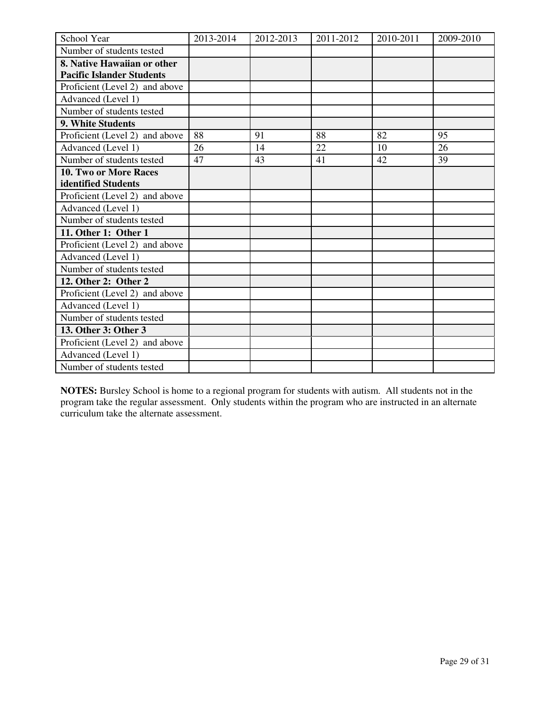| School Year                      | 2013-2014 | 2012-2013 | 2011-2012 | 2010-2011 | 2009-2010 |
|----------------------------------|-----------|-----------|-----------|-----------|-----------|
| Number of students tested        |           |           |           |           |           |
| 8. Native Hawaiian or other      |           |           |           |           |           |
| <b>Pacific Islander Students</b> |           |           |           |           |           |
| Proficient (Level 2) and above   |           |           |           |           |           |
| Advanced (Level 1)               |           |           |           |           |           |
| Number of students tested        |           |           |           |           |           |
| 9. White Students                |           |           |           |           |           |
| Proficient (Level 2) and above   | 88        | 91        | 88        | 82        | 95        |
| Advanced (Level 1)               | 26        | 14        | 22        | 10        | 26        |
| Number of students tested        | 47        | 43        | 41        | 42        | 39        |
| 10. Two or More Races            |           |           |           |           |           |
| identified Students              |           |           |           |           |           |
| Proficient (Level 2) and above   |           |           |           |           |           |
| Advanced (Level 1)               |           |           |           |           |           |
| Number of students tested        |           |           |           |           |           |
| 11. Other 1: Other 1             |           |           |           |           |           |
| Proficient (Level 2) and above   |           |           |           |           |           |
| Advanced (Level 1)               |           |           |           |           |           |
| Number of students tested        |           |           |           |           |           |
| 12. Other 2: Other 2             |           |           |           |           |           |
| Proficient (Level 2) and above   |           |           |           |           |           |
| Advanced (Level 1)               |           |           |           |           |           |
| Number of students tested        |           |           |           |           |           |
| 13. Other 3: Other 3             |           |           |           |           |           |
| Proficient (Level 2) and above   |           |           |           |           |           |
| Advanced (Level 1)               |           |           |           |           |           |
| Number of students tested        |           |           |           |           |           |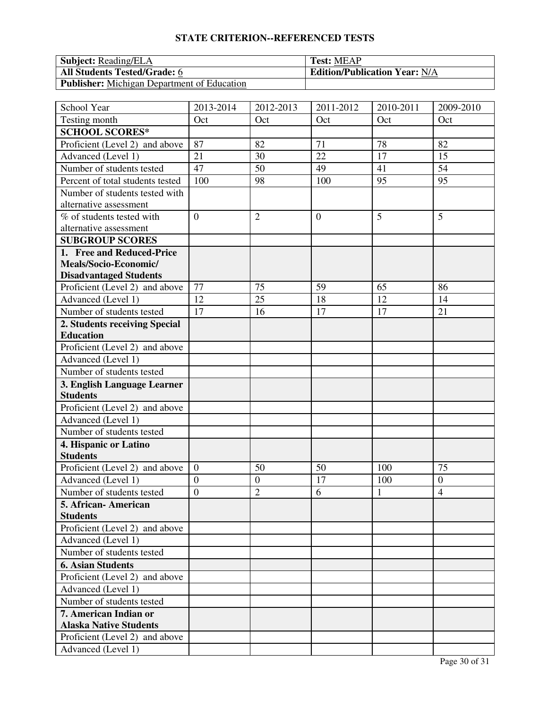| <b>Subject:</b> Reading/ELA                        | <b>Test: MEAP</b>                    |
|----------------------------------------------------|--------------------------------------|
| <b>All Students Tested/Grade: 6</b>                | <b>Edition/Publication Year: N/A</b> |
| <b>Publisher:</b> Michigan Department of Education |                                      |

| School Year                      | 2013-2014        | 2012-2013        | 2011-2012      | 2010-2011 | 2009-2010      |
|----------------------------------|------------------|------------------|----------------|-----------|----------------|
| Testing month                    | Oct              | Oct              | Oct            | Oct       | Oct            |
| <b>SCHOOL SCORES*</b>            |                  |                  |                |           |                |
| Proficient (Level 2) and above   | 87               | 82               | 71             | 78        | 82             |
| Advanced (Level 1)               | 21               | 30               | 22             | 17        | 15             |
| Number of students tested        | 47               | 50               | 49             | 41        | 54             |
| Percent of total students tested | 100              | 98               | 100            | 95        | 95             |
| Number of students tested with   |                  |                  |                |           |                |
| alternative assessment           |                  |                  |                |           |                |
| % of students tested with        | $\overline{0}$   | $\overline{2}$   | $\overline{0}$ | 5         | 5              |
| alternative assessment           |                  |                  |                |           |                |
| <b>SUBGROUP SCORES</b>           |                  |                  |                |           |                |
| 1. Free and Reduced-Price        |                  |                  |                |           |                |
| Meals/Socio-Economic/            |                  |                  |                |           |                |
| <b>Disadvantaged Students</b>    |                  |                  |                |           |                |
| Proficient (Level 2) and above   | 77               | 75               | 59             | 65        | 86             |
| Advanced (Level 1)               | 12               | 25               | 18             | 12        | 14             |
| Number of students tested        | 17               | 16               | 17             | 17        | 21             |
| 2. Students receiving Special    |                  |                  |                |           |                |
| <b>Education</b>                 |                  |                  |                |           |                |
| Proficient (Level 2) and above   |                  |                  |                |           |                |
| Advanced (Level 1)               |                  |                  |                |           |                |
| Number of students tested        |                  |                  |                |           |                |
| 3. English Language Learner      |                  |                  |                |           |                |
| <b>Students</b>                  |                  |                  |                |           |                |
| Proficient (Level 2) and above   |                  |                  |                |           |                |
| Advanced (Level 1)               |                  |                  |                |           |                |
| Number of students tested        |                  |                  |                |           |                |
| 4. Hispanic or Latino            |                  |                  |                |           |                |
| <b>Students</b>                  |                  |                  |                |           |                |
| Proficient (Level 2) and above   | $\overline{0}$   | 50               | 50             | 100       | 75             |
| Advanced (Level 1)               | $\boldsymbol{0}$ | $\boldsymbol{0}$ | 17             | 100       | $\overline{0}$ |
| Number of students tested        | $\overline{0}$   | $\overline{2}$   | 6              | 1         | $\overline{4}$ |
| 5. African- American             |                  |                  |                |           |                |
| <b>Students</b>                  |                  |                  |                |           |                |
| Proficient (Level 2) and above   |                  |                  |                |           |                |
| Advanced (Level 1)               |                  |                  |                |           |                |
| Number of students tested        |                  |                  |                |           |                |
| <b>6. Asian Students</b>         |                  |                  |                |           |                |
| Proficient (Level 2) and above   |                  |                  |                |           |                |
| Advanced (Level 1)               |                  |                  |                |           |                |
| Number of students tested        |                  |                  |                |           |                |
| 7. American Indian or            |                  |                  |                |           |                |
| <b>Alaska Native Students</b>    |                  |                  |                |           |                |
| Proficient (Level 2) and above   |                  |                  |                |           |                |
| Advanced (Level 1)               |                  |                  |                |           |                |